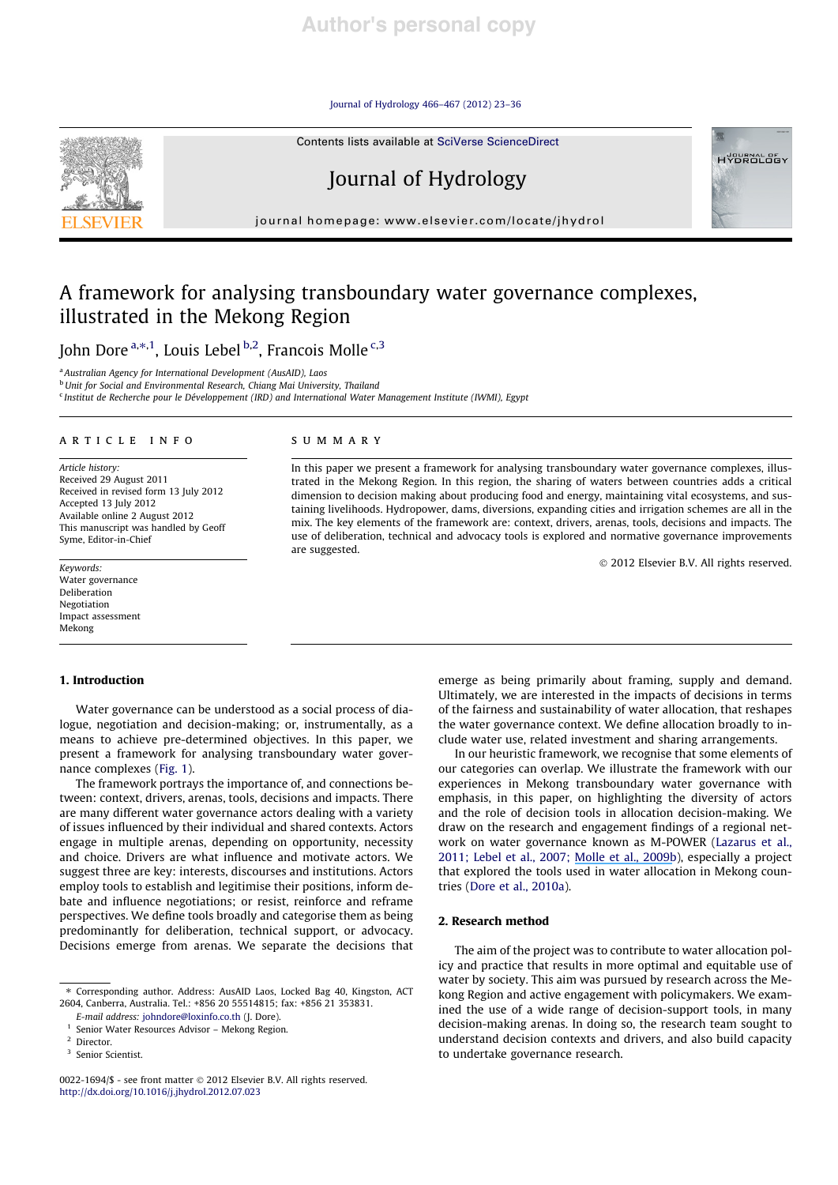Journal of Hydrology 466–467 (2012) 23–36

Contents lists available at SciVerse ScienceDirect



Journal of Hydrology

journal homepage: www.elsevier.com/locate/jhydrol

# A framework for analysing transboundary water governance complexes, illustrated in the Mekong Region

John Dore <sup>a,\*,1</sup>, Louis Lebel <sup>b,2</sup>, Francois Molle <sup>c,3</sup>

<sup>a</sup> Australian Agency for International Development (AusAID), Laos b Unit for Social and Environmental Research, Chiang Mai University, Thailand

<sup>c</sup> Institut de Recherche pour le Développement (IRD) and International Water Management Institute (IWMI), Egypt

## article info

Article history: Received 29 August 2011 Received in revised form 13 July 2012 Accepted 13 July 2012 Available online 2 August 2012 This manuscript was handled by Geoff Syme, Editor-in-Chief

Keywords: Water governance Deliberation Negotiation Impact assessment Mekong

## 1. Introduction

## summary

In this paper we present a framework for analysing transboundary water governance complexes, illustrated in the Mekong Region. In this region, the sharing of waters between countries adds a critical dimension to decision making about producing food and energy, maintaining vital ecosystems, and sustaining livelihoods. Hydropower, dams, diversions, expanding cities and irrigation schemes are all in the mix. The key elements of the framework are: context, drivers, arenas, tools, decisions and impacts. The use of deliberation, technical and advocacy tools is explored and normative governance improvements are suggested.

 $©$  2012 Elsevier B.V. All rights reserved.

**HYDROLOGY** 

Water governance can be understood as a social process of dialogue, negotiation and decision-making; or, instrumentally, as a means to achieve pre-determined objectives. In this paper, we present a framework for analysing transboundary water governance complexes (Fig. 1).

The framework portrays the importance of, and connections between: context, drivers, arenas, tools, decisions and impacts. There are many different water governance actors dealing with a variety of issues influenced by their individual and shared contexts. Actors engage in multiple arenas, depending on opportunity, necessity and choice. Drivers are what influence and motivate actors. We suggest three are key: interests, discourses and institutions. Actors employ tools to establish and legitimise their positions, inform debate and influence negotiations; or resist, reinforce and reframe perspectives. We define tools broadly and categorise them as being predominantly for deliberation, technical support, or advocacy. Decisions emerge from arenas. We separate the decisions that

⇑ Corresponding author. Address: AusAID Laos, Locked Bag 40, Kingston, ACT 2604, Canberra, Australia. Tel.: +856 20 55514815; fax: +856 21 353831.

E-mail address: johndore@loxinfo.co.th (J. Dore). <sup>1</sup> Senior Water Resources Advisor – Mekong Region. emerge as being primarily about framing, supply and demand. Ultimately, we are interested in the impacts of decisions in terms of the fairness and sustainability of water allocation, that reshapes the water governance context. We define allocation broadly to include water use, related investment and sharing arrangements.

In our heuristic framework, we recognise that some elements of our categories can overlap. We illustrate the framework with our experiences in Mekong transboundary water governance with emphasis, in this paper, on highlighting the diversity of actors and the role of decision tools in allocation decision-making. We draw on the research and engagement findings of a regional network on water governance known as M-POWER (Lazarus et al., 2011; Lebel et al., 2007; [Molle et al., 2009b](https://www.researchgate.net/publication/276271861_Contested_Waterscapes_in_the_Mekong_Region_Hydropower_Livelihoods_and_Governance?el=1_x_8&enrichId=rgreq-ac654145bd4298acd038cc0cce53725d-XXX&enrichSource=Y292ZXJQYWdlOzIzMzc5NjEwMTtBUzoxNzY0NDA2NTgxMTI1MTJAMTQxOTA3ODEzOTI4MQ==)), especially a project that explored the tools used in water allocation in Mekong countries (Dore et al., 2010a).

## 2. Research method

The aim of the project was to contribute to water allocation policy and practice that results in more optimal and equitable use of water by society. This aim was pursued by research across the Mekong Region and active engagement with policymakers. We examined the use of a wide range of decision-support tools, in many decision-making arenas. In doing so, the research team sought to understand decision contexts and drivers, and also build capacity to undertake governance research.

<sup>&</sup>lt;sup>2</sup> Director.

<sup>&</sup>lt;sup>3</sup> Senior Scientist.

<sup>0022-1694/\$ -</sup> see front matter  $@$  2012 Elsevier B.V. All rights reserved. http://dx.doi.org/10.1016/j.jhydrol.2012.07.023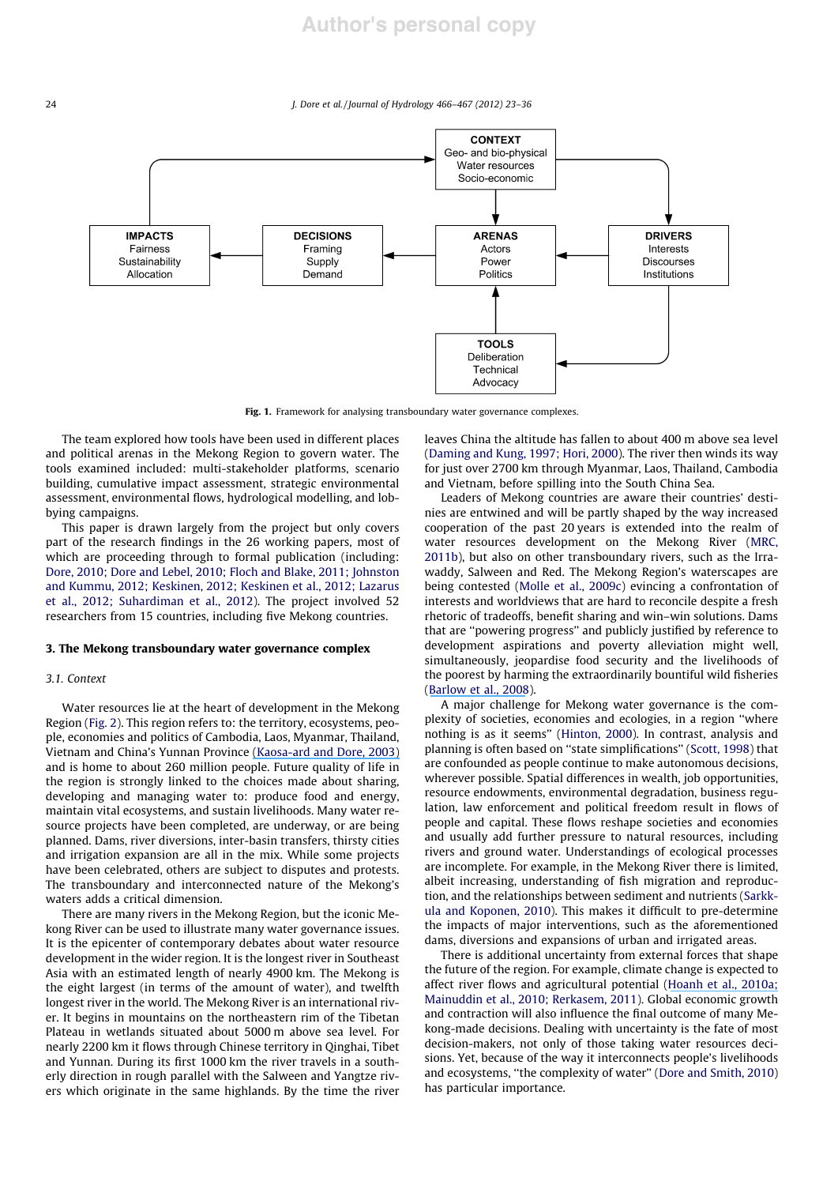

Fig. 1. Framework for analysing transboundary water governance complexes.

The team explored how tools have been used in different places and political arenas in the Mekong Region to govern water. The tools examined included: multi-stakeholder platforms, scenario building, cumulative impact assessment, strategic environmental assessment, environmental flows, hydrological modelling, and lobbying campaigns.

This paper is drawn largely from the project but only covers part of the research findings in the 26 working papers, most of which are proceeding through to formal publication (including: Dore, 2010; Dore and Lebel, 2010; Floch and Blake, 2011; Johnston and Kummu, 2012; Keskinen, 2012; Keskinen et al., 2012; Lazarus et al., 2012; Suhardiman et al., 2012). The project involved 52 researchers from 15 countries, including five Mekong countries.

#### 3. The Mekong transboundary water governance complex

#### 3.1. Context

Water resources lie at the heart of development in the Mekong Region (Fig. 2). This region refers to: the territory, ecosystems, people, economies and politics of Cambodia, Laos, Myanmar, Thailand, Vietnam and China's Yunnan Province [\(Kaosa-ard and Dore, 2003\)](https://www.researchgate.net/publication/279524722_The_governance_of_increasing_Mekong_regionalism?el=1_x_8&enrichId=rgreq-ac654145bd4298acd038cc0cce53725d-XXX&enrichSource=Y292ZXJQYWdlOzIzMzc5NjEwMTtBUzoxNzY0NDA2NTgxMTI1MTJAMTQxOTA3ODEzOTI4MQ==) and is home to about 260 million people. Future quality of life in the region is strongly linked to the choices made about sharing, developing and managing water to: produce food and energy, maintain vital ecosystems, and sustain livelihoods. Many water resource projects have been completed, are underway, or are being planned. Dams, river diversions, inter-basin transfers, thirsty cities and irrigation expansion are all in the mix. While some projects have been celebrated, others are subject to disputes and protests. The transboundary and interconnected nature of the Mekong's waters adds a critical dimension.

There are many rivers in the Mekong Region, but the iconic Mekong River can be used to illustrate many water governance issues. It is the epicenter of contemporary debates about water resource development in the wider region. It is the longest river in Southeast Asia with an estimated length of nearly 4900 km. The Mekong is the eight largest (in terms of the amount of water), and twelfth longest river in the world. The Mekong River is an international river. It begins in mountains on the northeastern rim of the Tibetan Plateau in wetlands situated about 5000 m above sea level. For nearly 2200 km it flows through Chinese territory in Qinghai, Tibet and Yunnan. During its first 1000 km the river travels in a southerly direction in rough parallel with the Salween and Yangtze rivers which originate in the same highlands. By the time the river leaves China the altitude has fallen to about 400 m above sea level (Daming and Kung, 1997; Hori, 2000). The river then winds its way for just over 2700 km through Myanmar, Laos, Thailand, Cambodia and Vietnam, before spilling into the South China Sea.

Leaders of Mekong countries are aware their countries' destinies are entwined and will be partly shaped by the way increased cooperation of the past 20 years is extended into the realm of water resources development on the Mekong River (MRC, 2011b), but also on other transboundary rivers, such as the Irrawaddy, Salween and Red. The Mekong Region's waterscapes are being contested (Molle et al., 2009c) evincing a confrontation of interests and worldviews that are hard to reconcile despite a fresh rhetoric of tradeoffs, benefit sharing and win–win solutions. Dams that are ''powering progress'' and publicly justified by reference to development aspirations and poverty alleviation might well, simultaneously, jeopardise food security and the livelihoods of the poorest by harming the extraordinarily bountiful wild fisheries ([Barlow et al., 2008](https://www.researchgate.net/publication/237347159_How_much_of_the_Mekong_fish_catch_is_at_risk_from_mainstream_dam_development?el=1_x_8&enrichId=rgreq-ac654145bd4298acd038cc0cce53725d-XXX&enrichSource=Y292ZXJQYWdlOzIzMzc5NjEwMTtBUzoxNzY0NDA2NTgxMTI1MTJAMTQxOTA3ODEzOTI4MQ==)).

A major challenge for Mekong water governance is the complexity of societies, economies and ecologies, in a region ''where nothing is as it seems'' (Hinton, 2000). In contrast, analysis and planning is often based on ''state simplifications'' (Scott, 1998) that are confounded as people continue to make autonomous decisions, wherever possible. Spatial differences in wealth, job opportunities, resource endowments, environmental degradation, business regulation, law enforcement and political freedom result in flows of people and capital. These flows reshape societies and economies and usually add further pressure to natural resources, including rivers and ground water. Understandings of ecological processes are incomplete. For example, in the Mekong River there is limited, albeit increasing, understanding of fish migration and reproduction, and the relationships between sediment and nutrients (Sarkkula and Koponen, 2010). This makes it difficult to pre-determine the impacts of major interventions, such as the aforementioned dams, diversions and expansions of urban and irrigated areas.

There is additional uncertainty from external forces that shape the future of the region. For example, climate change is expected to affect river flows and agricultural potential ([Hoanh et al., 2010a;](https://www.researchgate.net/publication/266261509_Impacts_of_climate_change_and_development_on_Mekong_Flow_regime_First_assessment?el=1_x_8&enrichId=rgreq-ac654145bd4298acd038cc0cce53725d-XXX&enrichSource=Y292ZXJQYWdlOzIzMzc5NjEwMTtBUzoxNzY0NDA2NTgxMTI1MTJAMTQxOTA3ODEzOTI4MQ==) Mainuddin et al., 2010; Rerkasem, 2011). Global economic growth and contraction will also influence the final outcome of many Mekong-made decisions. Dealing with uncertainty is the fate of most decision-makers, not only of those taking water resources decisions. Yet, because of the way it interconnects people's livelihoods and ecosystems, ''the complexity of water'' (Dore and Smith, 2010) has particular importance.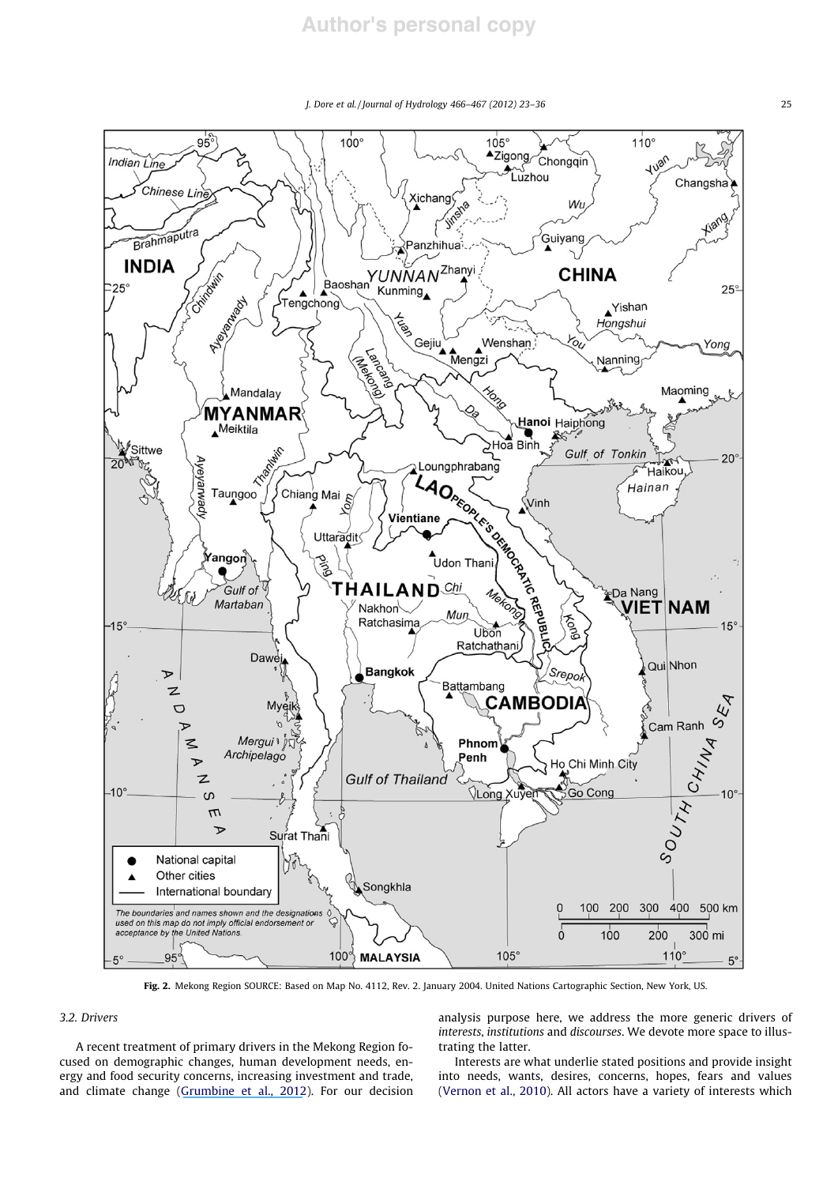J. Dore et al. / Journal of Hydrology 466–467 (2012) 23–36 25



Fig. 2. Mekong Region SOURCE: Based on Map No. 4112, Rev. 2. January 2004. United Nations Cartographic Section, New York, US.

## 3.2. Drivers

A recent treatment of primary drivers in the Mekong Region focused on demographic changes, human development needs, energy and food security concerns, increasing investment and trade, and climate change ([Grumbine et al., 2012](https://www.researchgate.net/publication/261976761_Mekong_Hydropower_Drivers_of_Change_and_Governance_Challenges?el=1_x_8&enrichId=rgreq-ac654145bd4298acd038cc0cce53725d-XXX&enrichSource=Y292ZXJQYWdlOzIzMzc5NjEwMTtBUzoxNzY0NDA2NTgxMTI1MTJAMTQxOTA3ODEzOTI4MQ==)). For our decision analysis purpose here, we address the more generic drivers of interests, institutions and discourses. We devote more space to illustrating the latter.

Interests are what underlie stated positions and provide insight into needs, wants, desires, concerns, hopes, fears and values (Vernon et al., 2010). All actors have a variety of interests which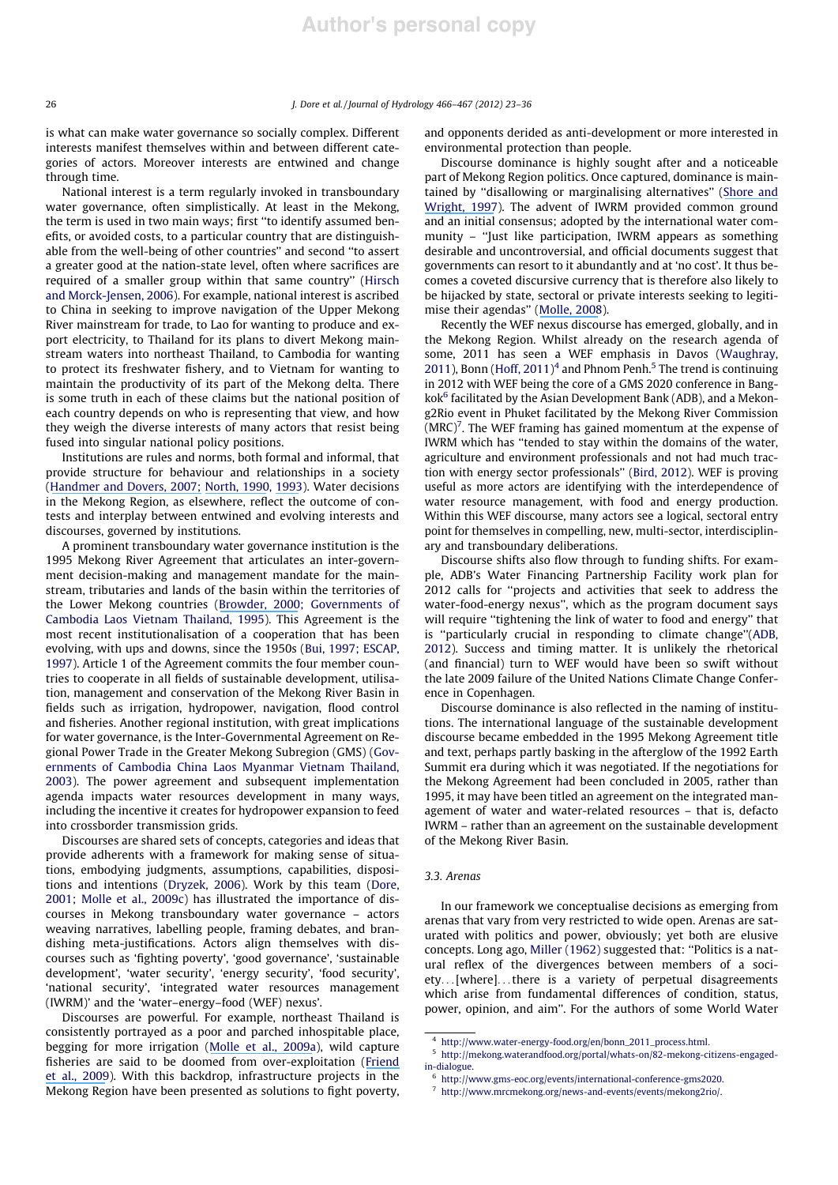is what can make water governance so socially complex. Different interests manifest themselves within and between different categories of actors. Moreover interests are entwined and change through time.

National interest is a term regularly invoked in transboundary water governance, often simplistically. At least in the Mekong, the term is used in two main ways; first ''to identify assumed benefits, or avoided costs, to a particular country that are distinguishable from the well-being of other countries'' and second ''to assert a greater good at the nation-state level, often where sacrifices are required of a smaller group within that same country'' (Hirsch and Morck-Jensen, 2006). For example, national interest is ascribed to China in seeking to improve navigation of the Upper Mekong River mainstream for trade, to Lao for wanting to produce and export electricity, to Thailand for its plans to divert Mekong mainstream waters into northeast Thailand, to Cambodia for wanting to protect its freshwater fishery, and to Vietnam for wanting to maintain the productivity of its part of the Mekong delta. There is some truth in each of these claims but the national position of each country depends on who is representing that view, and how they weigh the diverse interests of many actors that resist being fused into singular national policy positions.

Institutions are rules and norms, both formal and informal, that provide structure for behaviour and relationships in a society ([Handmer and Dovers, 2007;](https://www.researchgate.net/publication/44839586_The_Handbook_of_Emergency_and_Disaster_Policies_and_Institutions?el=1_x_8&enrichId=rgreq-ac654145bd4298acd038cc0cce53725d-XXX&enrichSource=Y292ZXJQYWdlOzIzMzc5NjEwMTtBUzoxNzY0NDA2NTgxMTI1MTJAMTQxOTA3ODEzOTI4MQ==) [North, 1990](https://www.researchgate.net/publication/243659117_Institutional_Change_and_Economic_Performance?el=1_x_8&enrichId=rgreq-ac654145bd4298acd038cc0cce53725d-XXX&enrichSource=Y292ZXJQYWdlOzIzMzc5NjEwMTtBUzoxNzY0NDA2NTgxMTI1MTJAMTQxOTA3ODEzOTI4MQ==), [1993](https://www.researchgate.net/publication/4725515_Economic_Performance_Trough_Time?el=1_x_8&enrichId=rgreq-ac654145bd4298acd038cc0cce53725d-XXX&enrichSource=Y292ZXJQYWdlOzIzMzc5NjEwMTtBUzoxNzY0NDA2NTgxMTI1MTJAMTQxOTA3ODEzOTI4MQ==)). Water decisions in the Mekong Region, as elsewhere, reflect the outcome of contests and interplay between entwined and evolving interests and discourses, governed by institutions.

A prominent transboundary water governance institution is the 1995 Mekong River Agreement that articulates an inter-government decision-making and management mandate for the mainstream, tributaries and lands of the basin within the territories of the Lower Mekong countries ([Browder, 2000](https://www.researchgate.net/publication/233582609_An_Analysis_of_the_Negotiations_for_the_1995_Mekong_Agreement?el=1_x_8&enrichId=rgreq-ac654145bd4298acd038cc0cce53725d-XXX&enrichSource=Y292ZXJQYWdlOzIzMzc5NjEwMTtBUzoxNzY0NDA2NTgxMTI1MTJAMTQxOTA3ODEzOTI4MQ==); Governments of Cambodia Laos Vietnam Thailand, 1995). This Agreement is the most recent institutionalisation of a cooperation that has been evolving, with ups and downs, since the 1950s (Bui, 1997; ESCAP, 1997). Article 1 of the Agreement commits the four member countries to cooperate in all fields of sustainable development, utilisation, management and conservation of the Mekong River Basin in fields such as irrigation, hydropower, navigation, flood control and fisheries. Another regional institution, with great implications for water governance, is the Inter-Governmental Agreement on Regional Power Trade in the Greater Mekong Subregion (GMS) (Governments of Cambodia China Laos Myanmar Vietnam Thailand, 2003). The power agreement and subsequent implementation agenda impacts water resources development in many ways, including the incentive it creates for hydropower expansion to feed into crossborder transmission grids.

Discourses are shared sets of concepts, categories and ideas that provide adherents with a framework for making sense of situations, embodying judgments, assumptions, capabilities, dispositions and intentions (Dryzek, 2006). Work by this team (Dore, 2001; Molle et al., 2009c) has illustrated the importance of discourses in Mekong transboundary water governance – actors weaving narratives, labelling people, framing debates, and brandishing meta-justifications. Actors align themselves with discourses such as 'fighting poverty', 'good governance', 'sustainable development', 'water security', 'energy security', 'food security', 'national security', 'integrated water resources management (IWRM)' and the 'water–energy–food (WEF) nexus'.

Discourses are powerful. For example, northeast Thailand is consistently portrayed as a poor and parched inhospitable place, begging for more irrigation ([Molle et al., 2009a](https://www.researchgate.net/publication/280637260_The_Greening_of_Isaan_politics_ideology_and_irrigation_development_in_the_Northeast_of_Thailand?el=1_x_8&enrichId=rgreq-ac654145bd4298acd038cc0cce53725d-XXX&enrichSource=Y292ZXJQYWdlOzIzMzc5NjEwMTtBUzoxNzY0NDA2NTgxMTI1MTJAMTQxOTA3ODEzOTI4MQ==)), wild capture fisheries are said to be doomed from over-exploitation ([Friend](https://www.researchgate.net/publication/260532768_Songs_of_the_doomed_The_continuing_neglect_of_capture_fisheries_in_hydropower_development_in_the_Mekong?el=1_x_8&enrichId=rgreq-ac654145bd4298acd038cc0cce53725d-XXX&enrichSource=Y292ZXJQYWdlOzIzMzc5NjEwMTtBUzoxNzY0NDA2NTgxMTI1MTJAMTQxOTA3ODEzOTI4MQ==) [et al., 2009](https://www.researchgate.net/publication/260532768_Songs_of_the_doomed_The_continuing_neglect_of_capture_fisheries_in_hydropower_development_in_the_Mekong?el=1_x_8&enrichId=rgreq-ac654145bd4298acd038cc0cce53725d-XXX&enrichSource=Y292ZXJQYWdlOzIzMzc5NjEwMTtBUzoxNzY0NDA2NTgxMTI1MTJAMTQxOTA3ODEzOTI4MQ==)). With this backdrop, infrastructure projects in the Mekong Region have been presented as solutions to fight poverty, and opponents derided as anti-development or more interested in environmental protection than people.

Discourse dominance is highly sought after and a noticeable part of Mekong Region politics. Once captured, dominance is maintained by ''disallowing or marginalising alternatives'' ([Shore and](https://www.researchgate.net/publication/278303221_Policy_A_New_Field_of_Anthropology?el=1_x_8&enrichId=rgreq-ac654145bd4298acd038cc0cce53725d-XXX&enrichSource=Y292ZXJQYWdlOzIzMzc5NjEwMTtBUzoxNzY0NDA2NTgxMTI1MTJAMTQxOTA3ODEzOTI4MQ==) [Wright, 1997](https://www.researchgate.net/publication/278303221_Policy_A_New_Field_of_Anthropology?el=1_x_8&enrichId=rgreq-ac654145bd4298acd038cc0cce53725d-XXX&enrichSource=Y292ZXJQYWdlOzIzMzc5NjEwMTtBUzoxNzY0NDA2NTgxMTI1MTJAMTQxOTA3ODEzOTI4MQ==)). The advent of IWRM provided common ground and an initial consensus; adopted by the international water community – ''Just like participation, IWRM appears as something desirable and uncontroversial, and official documents suggest that governments can resort to it abundantly and at 'no cost'. It thus becomes a coveted discursive currency that is therefore also likely to be hijacked by state, sectoral or private interests seeking to legitimise their agendas'' ([Molle, 2008](https://www.researchgate.net/publication/26570143_Nirvana_concepts_narratives_and_policy_models_Insights_from_the_water_sector?el=1_x_8&enrichId=rgreq-ac654145bd4298acd038cc0cce53725d-XXX&enrichSource=Y292ZXJQYWdlOzIzMzc5NjEwMTtBUzoxNzY0NDA2NTgxMTI1MTJAMTQxOTA3ODEzOTI4MQ==)).

Recently the WEF nexus discourse has emerged, globally, and in the Mekong Region. Whilst already on the research agenda of some, 2011 has seen a WEF emphasis in Davos (Waughray, 2011), Bonn (Hoff, 2011)<sup>4</sup> and Phnom Penh.<sup>5</sup> The trend is continuing in 2012 with WEF being the core of a GMS 2020 conference in Bangkok<sup>6</sup> facilitated by the Asian Development Bank (ADB), and a Mekong2Rio event in Phuket facilitated by the Mekong River Commission  $(MRC)^7$ . The WEF framing has gained momentum at the expense of IWRM which has ''tended to stay within the domains of the water, agriculture and environment professionals and not had much traction with energy sector professionals'' (Bird, 2012). WEF is proving useful as more actors are identifying with the interdependence of water resource management, with food and energy production. Within this WEF discourse, many actors see a logical, sectoral entry point for themselves in compelling, new, multi-sector, interdisciplinary and transboundary deliberations.

Discourse shifts also flow through to funding shifts. For example, ADB's Water Financing Partnership Facility work plan for 2012 calls for ''projects and activities that seek to address the water-food-energy nexus'', which as the program document says will require "tightening the link of water to food and energy" that is ''particularly crucial in responding to climate change''(ADB, 2012). Success and timing matter. It is unlikely the rhetorical (and financial) turn to WEF would have been so swift without the late 2009 failure of the United Nations Climate Change Conference in Copenhagen.

Discourse dominance is also reflected in the naming of institutions. The international language of the sustainable development discourse became embedded in the 1995 Mekong Agreement title and text, perhaps partly basking in the afterglow of the 1992 Earth Summit era during which it was negotiated. If the negotiations for the Mekong Agreement had been concluded in 2005, rather than 1995, it may have been titled an agreement on the integrated management of water and water-related resources – that is, defacto IWRM – rather than an agreement on the sustainable development of the Mekong River Basin.

#### 3.3. Arenas

In our framework we conceptualise decisions as emerging from arenas that vary from very restricted to wide open. Arenas are saturated with politics and power, obviously; yet both are elusive concepts. Long ago, Miller (1962) suggested that: ''Politics is a natural reflex of the divergences between members of a society...[where]...there is a variety of perpetual disagreements which arise from fundamental differences of condition, status, power, opinion, and aim''. For the authors of some World Water

<sup>4</sup> http://www.water-energy-food.org/en/bonn\_2011\_process.html.

<sup>5</sup> http://mekong.waterandfood.org/portal/whats-on/82-mekong-citizens-engagedin-dialogue.

<sup>6</sup> http://www.gms-eoc.org/events/international-conference-gms2020.

 $^7\,$ http://www.mrcmekong.org/news-and-events/events/mekong2rio/.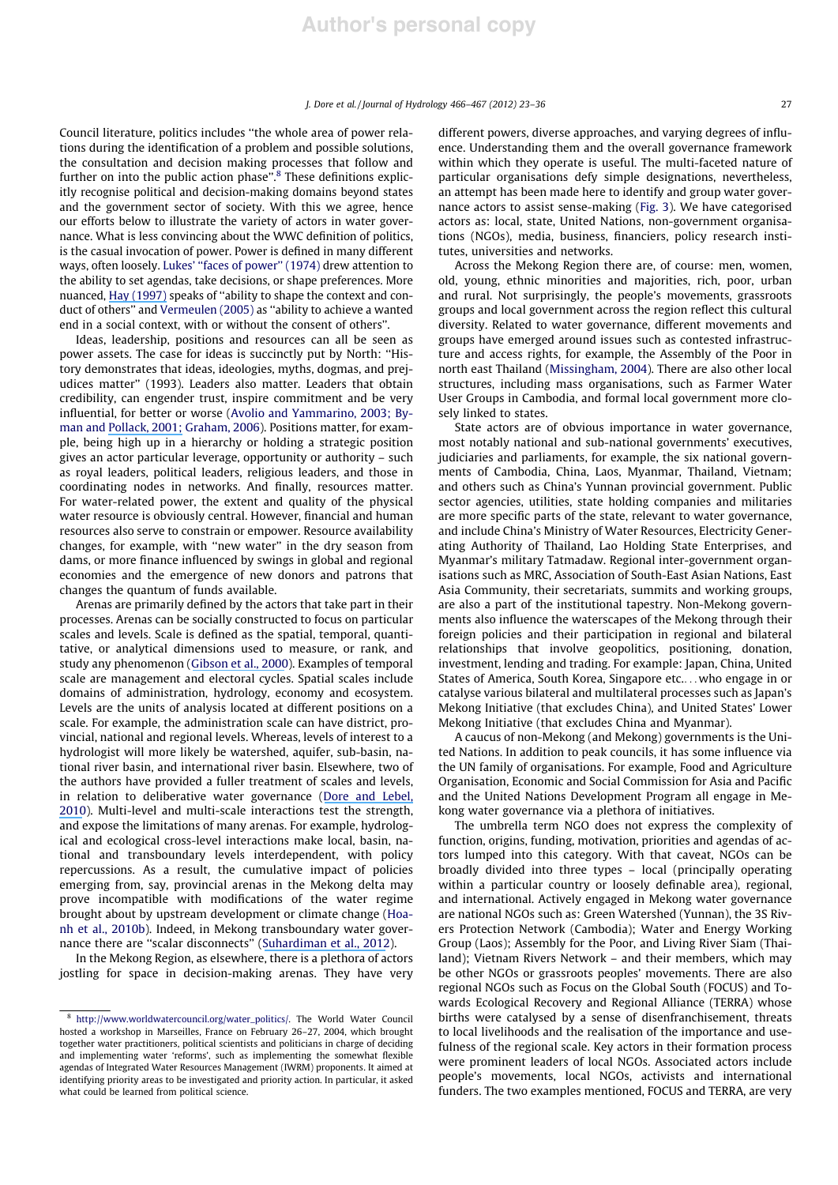Council literature, politics includes ''the whole area of power relations during the identification of a problem and possible solutions, the consultation and decision making processes that follow and further on into the public action phase".<sup>8</sup> These definitions explicitly recognise political and decision-making domains beyond states and the government sector of society. With this we agree, hence our efforts below to illustrate the variety of actors in water governance. What is less convincing about the WWC definition of politics, is the casual invocation of power. Power is defined in many different ways, often loosely. Lukes' ''faces of power'' (1974) drew attention to the ability to set agendas, take decisions, or shape preferences. More nuanced, [Hay \(1997\)](https://www.researchgate.net/publication/229647944_Divided_by_a_common_language_Political_theory_and_the_concept_of_power?el=1_x_8&enrichId=rgreq-ac654145bd4298acd038cc0cce53725d-XXX&enrichSource=Y292ZXJQYWdlOzIzMzc5NjEwMTtBUzoxNzY0NDA2NTgxMTI1MTJAMTQxOTA3ODEzOTI4MQ==) speaks of ''ability to shape the context and conduct of others'' and Vermeulen (2005) as ''ability to achieve a wanted end in a social context, with or without the consent of others''.

Ideas, leadership, positions and resources can all be seen as power assets. The case for ideas is succinctly put by North: ''History demonstrates that ideas, ideologies, myths, dogmas, and prejudices matter'' (1993). Leaders also matter. Leaders that obtain credibility, can engender trust, inspire commitment and be very influential, for better or worse (Avolio and Yammarino, 2003; Byman and [Pollack, 2001;](https://www.researchgate.net/publication/236727744_Let_Us_Now_Praise_Great_Men_Bringing_the_Statesman_Back_In?el=1_x_8&enrichId=rgreq-ac654145bd4298acd038cc0cce53725d-XXX&enrichSource=Y292ZXJQYWdlOzIzMzc5NjEwMTtBUzoxNzY0NDA2NTgxMTI1MTJAMTQxOTA3ODEzOTI4MQ==) Graham, 2006). Positions matter, for example, being high up in a hierarchy or holding a strategic position gives an actor particular leverage, opportunity or authority – such as royal leaders, political leaders, religious leaders, and those in coordinating nodes in networks. And finally, resources matter. For water-related power, the extent and quality of the physical water resource is obviously central. However, financial and human resources also serve to constrain or empower. Resource availability changes, for example, with ''new water'' in the dry season from dams, or more finance influenced by swings in global and regional economies and the emergence of new donors and patrons that changes the quantum of funds available.

Arenas are primarily defined by the actors that take part in their processes. Arenas can be socially constructed to focus on particular scales and levels. Scale is defined as the spatial, temporal, quantitative, or analytical dimensions used to measure, or rank, and study any phenomenon ([Gibson et al., 2000](https://www.researchgate.net/publication/222552538_The_Concept_of_Scale_and_the_Human_Dimensions_of_Global_Change_A_Survey?el=1_x_8&enrichId=rgreq-ac654145bd4298acd038cc0cce53725d-XXX&enrichSource=Y292ZXJQYWdlOzIzMzc5NjEwMTtBUzoxNzY0NDA2NTgxMTI1MTJAMTQxOTA3ODEzOTI4MQ==)). Examples of temporal scale are management and electoral cycles. Spatial scales include domains of administration, hydrology, economy and ecosystem. Levels are the units of analysis located at different positions on a scale. For example, the administration scale can have district, provincial, national and regional levels. Whereas, levels of interest to a hydrologist will more likely be watershed, aquifer, sub-basin, national river basin, and international river basin. Elsewhere, two of the authors have provided a fuller treatment of scales and levels, in relation to deliberative water governance ([Dore and Lebel,](https://www.researchgate.net/publication/45189230_Deliberation_and_Scale_in_Mekong_Region_Water_Governance?el=1_x_8&enrichId=rgreq-ac654145bd4298acd038cc0cce53725d-XXX&enrichSource=Y292ZXJQYWdlOzIzMzc5NjEwMTtBUzoxNzY0NDA2NTgxMTI1MTJAMTQxOTA3ODEzOTI4MQ==) [2010](https://www.researchgate.net/publication/45189230_Deliberation_and_Scale_in_Mekong_Region_Water_Governance?el=1_x_8&enrichId=rgreq-ac654145bd4298acd038cc0cce53725d-XXX&enrichSource=Y292ZXJQYWdlOzIzMzc5NjEwMTtBUzoxNzY0NDA2NTgxMTI1MTJAMTQxOTA3ODEzOTI4MQ==)). Multi-level and multi-scale interactions test the strength, and expose the limitations of many arenas. For example, hydrological and ecological cross-level interactions make local, basin, national and transboundary levels interdependent, with policy repercussions. As a result, the cumulative impact of policies emerging from, say, provincial arenas in the Mekong delta may prove incompatible with modifications of the water regime brought about by upstream development or climate change (Hoanh et al., 2010b). Indeed, in Mekong transboundary water governance there are ''scalar disconnects'' ([Suhardiman et al., 2012](https://www.researchgate.net/publication/232890744_Scalar_Disconnect_The_Logic_of_Transboundary_Water_Governance_in_the_Mekong?el=1_x_8&enrichId=rgreq-ac654145bd4298acd038cc0cce53725d-XXX&enrichSource=Y292ZXJQYWdlOzIzMzc5NjEwMTtBUzoxNzY0NDA2NTgxMTI1MTJAMTQxOTA3ODEzOTI4MQ==)).

In the Mekong Region, as elsewhere, there is a plethora of actors jostling for space in decision-making arenas. They have very different powers, diverse approaches, and varying degrees of influence. Understanding them and the overall governance framework within which they operate is useful. The multi-faceted nature of particular organisations defy simple designations, nevertheless, an attempt has been made here to identify and group water governance actors to assist sense-making (Fig. 3). We have categorised actors as: local, state, United Nations, non-government organisations (NGOs), media, business, financiers, policy research institutes, universities and networks.

Across the Mekong Region there are, of course: men, women, old, young, ethnic minorities and majorities, rich, poor, urban and rural. Not surprisingly, the people's movements, grassroots groups and local government across the region reflect this cultural diversity. Related to water governance, different movements and groups have emerged around issues such as contested infrastructure and access rights, for example, the Assembly of the Poor in north east Thailand (Missingham, 2004). There are also other local structures, including mass organisations, such as Farmer Water User Groups in Cambodia, and formal local government more closely linked to states.

State actors are of obvious importance in water governance, most notably national and sub-national governments' executives, judiciaries and parliaments, for example, the six national governments of Cambodia, China, Laos, Myanmar, Thailand, Vietnam; and others such as China's Yunnan provincial government. Public sector agencies, utilities, state holding companies and militaries are more specific parts of the state, relevant to water governance, and include China's Ministry of Water Resources, Electricity Generating Authority of Thailand, Lao Holding State Enterprises, and Myanmar's military Tatmadaw. Regional inter-government organisations such as MRC, Association of South-East Asian Nations, East Asia Community, their secretariats, summits and working groups, are also a part of the institutional tapestry. Non-Mekong governments also influence the waterscapes of the Mekong through their foreign policies and their participation in regional and bilateral relationships that involve geopolitics, positioning, donation, investment, lending and trading. For example: Japan, China, United States of America, South Korea, Singapore etc....who engage in or catalyse various bilateral and multilateral processes such as Japan's Mekong Initiative (that excludes China), and United States' Lower Mekong Initiative (that excludes China and Myanmar).

A caucus of non-Mekong (and Mekong) governments is the United Nations. In addition to peak councils, it has some influence via the UN family of organisations. For example, Food and Agriculture Organisation, Economic and Social Commission for Asia and Pacific and the United Nations Development Program all engage in Mekong water governance via a plethora of initiatives.

The umbrella term NGO does not express the complexity of function, origins, funding, motivation, priorities and agendas of actors lumped into this category. With that caveat, NGOs can be broadly divided into three types – local (principally operating within a particular country or loosely definable area), regional, and international. Actively engaged in Mekong water governance are national NGOs such as: Green Watershed (Yunnan), the 3S Rivers Protection Network (Cambodia); Water and Energy Working Group (Laos); Assembly for the Poor, and Living River Siam (Thailand); Vietnam Rivers Network – and their members, which may be other NGOs or grassroots peoples' movements. There are also regional NGOs such as Focus on the Global South (FOCUS) and Towards Ecological Recovery and Regional Alliance (TERRA) whose births were catalysed by a sense of disenfranchisement, threats to local livelihoods and the realisation of the importance and usefulness of the regional scale. Key actors in their formation process were prominent leaders of local NGOs. Associated actors include people's movements, local NGOs, activists and international funders. The two examples mentioned, FOCUS and TERRA, are very

<sup>8</sup> http://www.worldwatercouncil.org/water\_politics/. The World Water Council hosted a workshop in Marseilles, France on February 26–27, 2004, which brought together water practitioners, political scientists and politicians in charge of deciding and implementing water 'reforms', such as implementing the somewhat flexible agendas of Integrated Water Resources Management (IWRM) proponents. It aimed at identifying priority areas to be investigated and priority action. In particular, it asked what could be learned from political science.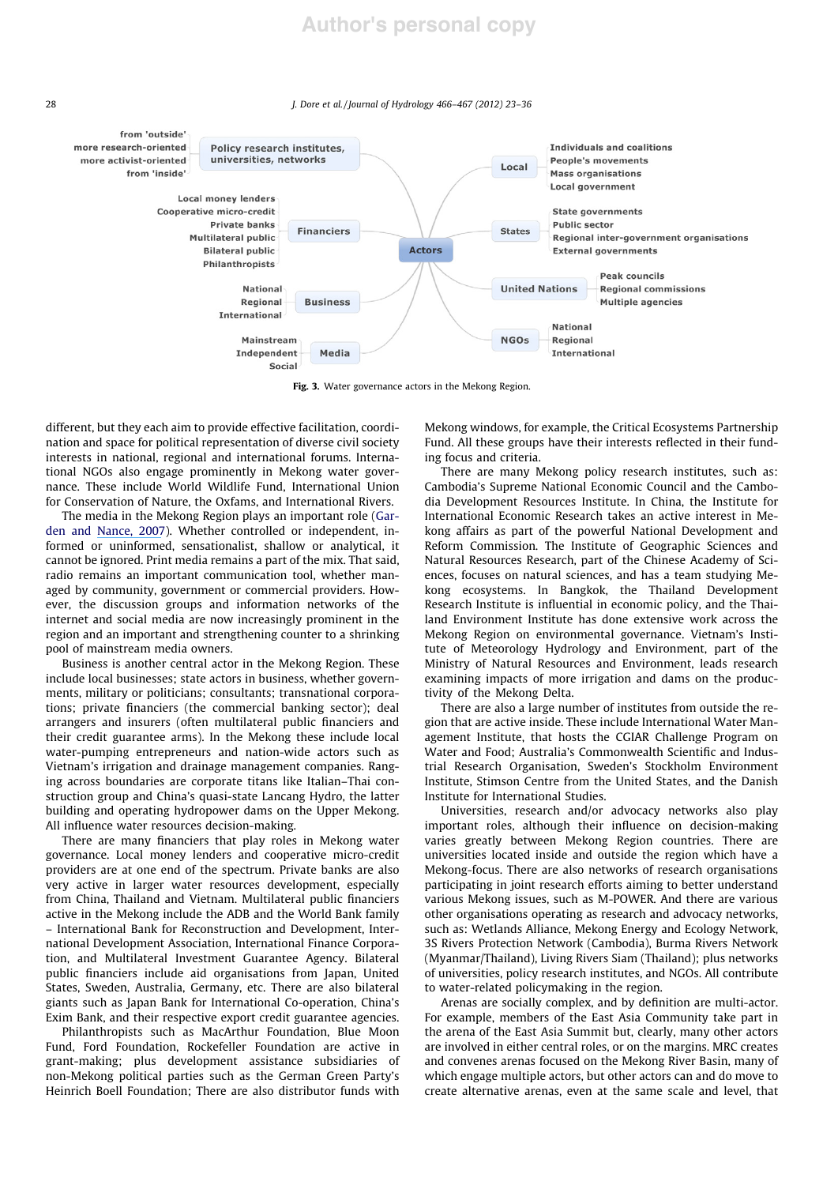

Fig. 3. Water governance actors in the Mekong Region.

different, but they each aim to provide effective facilitation, coordination and space for political representation of diverse civil society interests in national, regional and international forums. International NGOs also engage prominently in Mekong water governance. These include World Wildlife Fund, International Union for Conservation of Nature, the Oxfams, and International Rivers.

The media in the Mekong Region plays an important role (Garden and [Nance, 2007](https://www.researchgate.net/publication/290128853_Forums_and_flows_emerging_media_trends?el=1_x_8&enrichId=rgreq-ac654145bd4298acd038cc0cce53725d-XXX&enrichSource=Y292ZXJQYWdlOzIzMzc5NjEwMTtBUzoxNzY0NDA2NTgxMTI1MTJAMTQxOTA3ODEzOTI4MQ==)). Whether controlled or independent, informed or uninformed, sensationalist, shallow or analytical, it cannot be ignored. Print media remains a part of the mix. That said, radio remains an important communication tool, whether managed by community, government or commercial providers. However, the discussion groups and information networks of the internet and social media are now increasingly prominent in the region and an important and strengthening counter to a shrinking pool of mainstream media owners.

Business is another central actor in the Mekong Region. These include local businesses; state actors in business, whether governments, military or politicians; consultants; transnational corporations; private financiers (the commercial banking sector); deal arrangers and insurers (often multilateral public financiers and their credit guarantee arms). In the Mekong these include local water-pumping entrepreneurs and nation-wide actors such as Vietnam's irrigation and drainage management companies. Ranging across boundaries are corporate titans like Italian–Thai construction group and China's quasi-state Lancang Hydro, the latter building and operating hydropower dams on the Upper Mekong. All influence water resources decision-making.

There are many financiers that play roles in Mekong water governance. Local money lenders and cooperative micro-credit providers are at one end of the spectrum. Private banks are also very active in larger water resources development, especially from China, Thailand and Vietnam. Multilateral public financiers active in the Mekong include the ADB and the World Bank family – International Bank for Reconstruction and Development, International Development Association, International Finance Corporation, and Multilateral Investment Guarantee Agency. Bilateral public financiers include aid organisations from Japan, United States, Sweden, Australia, Germany, etc. There are also bilateral giants such as Japan Bank for International Co-operation, China's Exim Bank, and their respective export credit guarantee agencies.

Philanthropists such as MacArthur Foundation, Blue Moon Fund, Ford Foundation, Rockefeller Foundation are active in grant-making; plus development assistance subsidiaries of non-Mekong political parties such as the German Green Party's Heinrich Boell Foundation; There are also distributor funds with Mekong windows, for example, the Critical Ecosystems Partnership Fund. All these groups have their interests reflected in their funding focus and criteria.

There are many Mekong policy research institutes, such as: Cambodia's Supreme National Economic Council and the Cambodia Development Resources Institute. In China, the Institute for International Economic Research takes an active interest in Mekong affairs as part of the powerful National Development and Reform Commission. The Institute of Geographic Sciences and Natural Resources Research, part of the Chinese Academy of Sciences, focuses on natural sciences, and has a team studying Mekong ecosystems. In Bangkok, the Thailand Development Research Institute is influential in economic policy, and the Thailand Environment Institute has done extensive work across the Mekong Region on environmental governance. Vietnam's Institute of Meteorology Hydrology and Environment, part of the Ministry of Natural Resources and Environment, leads research examining impacts of more irrigation and dams on the productivity of the Mekong Delta.

There are also a large number of institutes from outside the region that are active inside. These include International Water Management Institute, that hosts the CGIAR Challenge Program on Water and Food; Australia's Commonwealth Scientific and Industrial Research Organisation, Sweden's Stockholm Environment Institute, Stimson Centre from the United States, and the Danish Institute for International Studies.

Universities, research and/or advocacy networks also play important roles, although their influence on decision-making varies greatly between Mekong Region countries. There are universities located inside and outside the region which have a Mekong-focus. There are also networks of research organisations participating in joint research efforts aiming to better understand various Mekong issues, such as M-POWER. And there are various other organisations operating as research and advocacy networks, such as: Wetlands Alliance, Mekong Energy and Ecology Network, 3S Rivers Protection Network (Cambodia), Burma Rivers Network (Myanmar/Thailand), Living Rivers Siam (Thailand); plus networks of universities, policy research institutes, and NGOs. All contribute to water-related policymaking in the region.

Arenas are socially complex, and by definition are multi-actor. For example, members of the East Asia Community take part in the arena of the East Asia Summit but, clearly, many other actors are involved in either central roles, or on the margins. MRC creates and convenes arenas focused on the Mekong River Basin, many of which engage multiple actors, but other actors can and do move to create alternative arenas, even at the same scale and level, that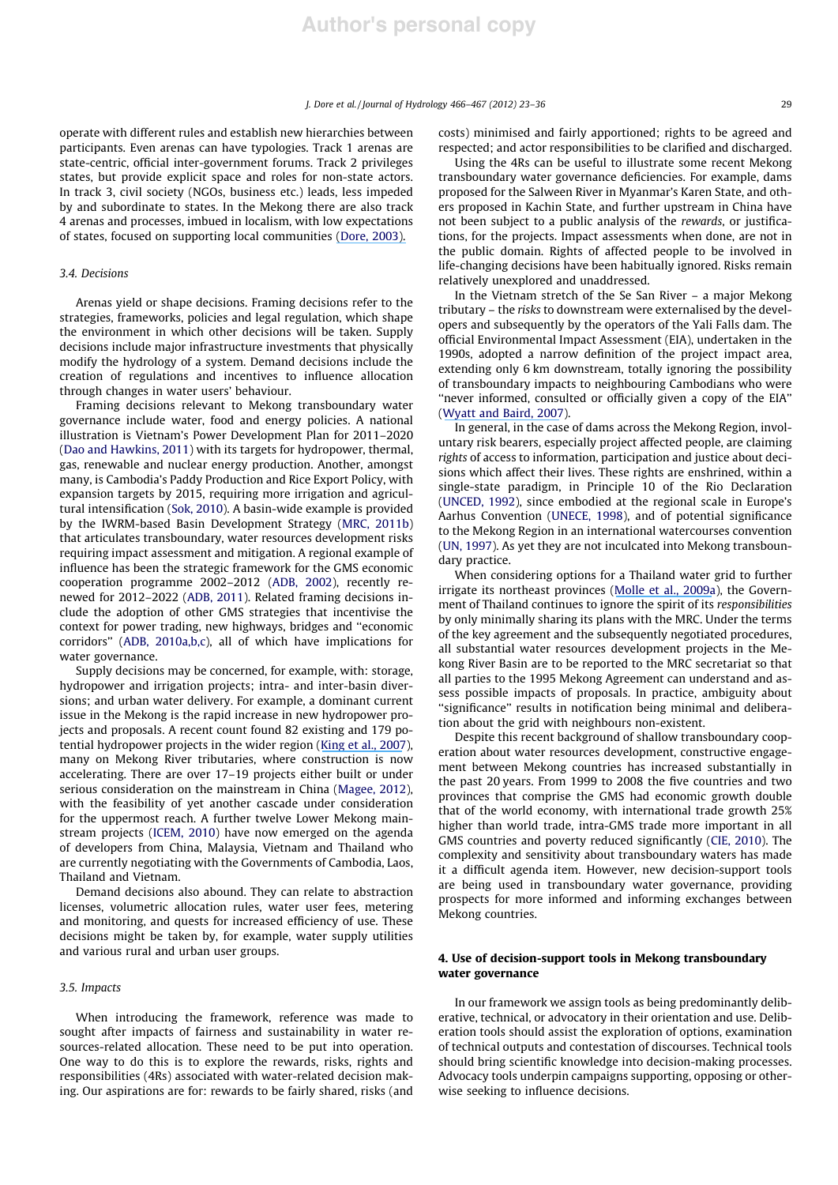operate with different rules and establish new hierarchies between participants. Even arenas can have typologies. Track 1 arenas are state-centric, official inter-government forums. Track 2 privileges states, but provide explicit space and roles for non-state actors. In track 3, civil society (NGOs, business etc.) leads, less impeded by and subordinate to states. In the Mekong there are also track 4 arenas and processes, imbued in localism, with low expectations of states, focused on supporting local communities [\(Dore, 2003\).](https://www.researchgate.net/publication/279524722_The_governance_of_increasing_Mekong_regionalism?el=1_x_8&enrichId=rgreq-ac654145bd4298acd038cc0cce53725d-XXX&enrichSource=Y292ZXJQYWdlOzIzMzc5NjEwMTtBUzoxNzY0NDA2NTgxMTI1MTJAMTQxOTA3ODEzOTI4MQ==)

## 3.4. Decisions

Arenas yield or shape decisions. Framing decisions refer to the strategies, frameworks, policies and legal regulation, which shape the environment in which other decisions will be taken. Supply decisions include major infrastructure investments that physically modify the hydrology of a system. Demand decisions include the creation of regulations and incentives to influence allocation through changes in water users' behaviour.

Framing decisions relevant to Mekong transboundary water governance include water, food and energy policies. A national illustration is Vietnam's Power Development Plan for 2011–2020 (Dao and Hawkins, 2011) with its targets for hydropower, thermal, gas, renewable and nuclear energy production. Another, amongst many, is Cambodia's Paddy Production and Rice Export Policy, with expansion targets by 2015, requiring more irrigation and agricultural intensification (Sok, 2010). A basin-wide example is provided by the IWRM-based Basin Development Strategy (MRC, 2011b) that articulates transboundary, water resources development risks requiring impact assessment and mitigation. A regional example of influence has been the strategic framework for the GMS economic cooperation programme 2002–2012 (ADB, 2002), recently renewed for 2012–2022 (ADB, 2011). Related framing decisions include the adoption of other GMS strategies that incentivise the context for power trading, new highways, bridges and ''economic corridors'' (ADB, 2010a,b,c), all of which have implications for water governance.

Supply decisions may be concerned, for example, with: storage, hydropower and irrigation projects; intra- and inter-basin diversions; and urban water delivery. For example, a dominant current issue in the Mekong is the rapid increase in new hydropower projects and proposals. A recent count found 82 existing and 179 potential hydropower projects in the wider region ([King et al., 2007](https://www.researchgate.net/publication/242515490_The_Current_Status_of_Environmental_Criteria_for_Hydropower_Development_in_the_Mekong_Region_A_Literature_Compilation?el=1_x_8&enrichId=rgreq-ac654145bd4298acd038cc0cce53725d-XXX&enrichSource=Y292ZXJQYWdlOzIzMzc5NjEwMTtBUzoxNzY0NDA2NTgxMTI1MTJAMTQxOTA3ODEzOTI4MQ==)), many on Mekong River tributaries, where construction is now accelerating. There are over 17–19 projects either built or under serious consideration on the mainstream in China (Magee, 2012), with the feasibility of yet another cascade under consideration for the uppermost reach. A further twelve Lower Mekong mainstream projects (ICEM, 2010) have now emerged on the agenda of developers from China, Malaysia, Vietnam and Thailand who are currently negotiating with the Governments of Cambodia, Laos, Thailand and Vietnam.

Demand decisions also abound. They can relate to abstraction licenses, volumetric allocation rules, water user fees, metering and monitoring, and quests for increased efficiency of use. These decisions might be taken by, for example, water supply utilities and various rural and urban user groups.

#### 3.5. Impacts

When introducing the framework, reference was made to sought after impacts of fairness and sustainability in water resources-related allocation. These need to be put into operation. One way to do this is to explore the rewards, risks, rights and responsibilities (4Rs) associated with water-related decision making. Our aspirations are for: rewards to be fairly shared, risks (and costs) minimised and fairly apportioned; rights to be agreed and respected; and actor responsibilities to be clarified and discharged.

Using the 4Rs can be useful to illustrate some recent Mekong transboundary water governance deficiencies. For example, dams proposed for the Salween River in Myanmar's Karen State, and others proposed in Kachin State, and further upstream in China have not been subject to a public analysis of the rewards, or justifications, for the projects. Impact assessments when done, are not in the public domain. Rights of affected people to be involved in life-changing decisions have been habitually ignored. Risks remain relatively unexplored and unaddressed.

In the Vietnam stretch of the Se San River – a major Mekong tributary – the risks to downstream were externalised by the developers and subsequently by the operators of the Yali Falls dam. The official Environmental Impact Assessment (EIA), undertaken in the 1990s, adopted a narrow definition of the project impact area, extending only 6 km downstream, totally ignoring the possibility of transboundary impacts to neighbouring Cambodians who were ''never informed, consulted or officially given a copy of the EIA'' ([Wyatt and Baird, 2007](https://www.researchgate.net/publication/234108641_Transboundary_Impact_Assessment_in_the_Sesan_River_Basin_The_Case_of_the_Yali_Falls_Dam?el=1_x_8&enrichId=rgreq-ac654145bd4298acd038cc0cce53725d-XXX&enrichSource=Y292ZXJQYWdlOzIzMzc5NjEwMTtBUzoxNzY0NDA2NTgxMTI1MTJAMTQxOTA3ODEzOTI4MQ==)).

In general, in the case of dams across the Mekong Region, involuntary risk bearers, especially project affected people, are claiming rights of access to information, participation and justice about decisions which affect their lives. These rights are enshrined, within a single-state paradigm, in Principle 10 of the Rio Declaration (UNCED, 1992), since embodied at the regional scale in Europe's Aarhus Convention (UNECE, 1998), and of potential significance to the Mekong Region in an international watercourses convention (UN, 1997). As yet they are not inculcated into Mekong transboundary practice.

When considering options for a Thailand water grid to further irrigate its northeast provinces ([Molle et al., 2009a](https://www.researchgate.net/publication/280637260_The_Greening_of_Isaan_politics_ideology_and_irrigation_development_in_the_Northeast_of_Thailand?el=1_x_8&enrichId=rgreq-ac654145bd4298acd038cc0cce53725d-XXX&enrichSource=Y292ZXJQYWdlOzIzMzc5NjEwMTtBUzoxNzY0NDA2NTgxMTI1MTJAMTQxOTA3ODEzOTI4MQ==)), the Government of Thailand continues to ignore the spirit of its responsibilities by only minimally sharing its plans with the MRC. Under the terms of the key agreement and the subsequently negotiated procedures, all substantial water resources development projects in the Mekong River Basin are to be reported to the MRC secretariat so that all parties to the 1995 Mekong Agreement can understand and assess possible impacts of proposals. In practice, ambiguity about "significance" results in notification being minimal and deliberation about the grid with neighbours non-existent.

Despite this recent background of shallow transboundary cooperation about water resources development, constructive engagement between Mekong countries has increased substantially in the past 20 years. From 1999 to 2008 the five countries and two provinces that comprise the GMS had economic growth double that of the world economy, with international trade growth 25% higher than world trade, intra-GMS trade more important in all GMS countries and poverty reduced significantly (CIE, 2010). The complexity and sensitivity about transboundary waters has made it a difficult agenda item. However, new decision-support tools are being used in transboundary water governance, providing prospects for more informed and informing exchanges between Mekong countries.

#### 4. Use of decision-support tools in Mekong transboundary water governance

In our framework we assign tools as being predominantly deliberative, technical, or advocatory in their orientation and use. Deliberation tools should assist the exploration of options, examination of technical outputs and contestation of discourses. Technical tools should bring scientific knowledge into decision-making processes. Advocacy tools underpin campaigns supporting, opposing or otherwise seeking to influence decisions.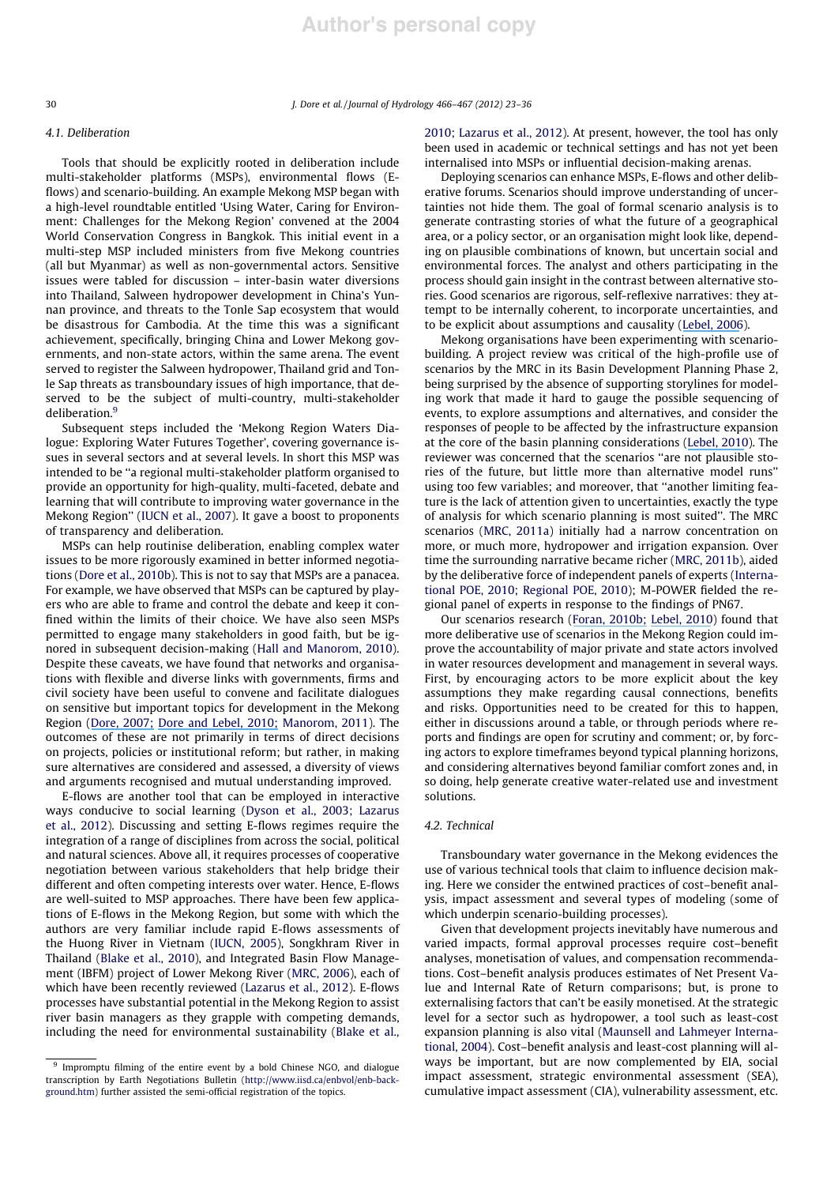#### 4.1. Deliberation

Tools that should be explicitly rooted in deliberation include multi-stakeholder platforms (MSPs), environmental flows (Eflows) and scenario-building. An example Mekong MSP began with a high-level roundtable entitled 'Using Water, Caring for Environment: Challenges for the Mekong Region' convened at the 2004 World Conservation Congress in Bangkok. This initial event in a multi-step MSP included ministers from five Mekong countries (all but Myanmar) as well as non-governmental actors. Sensitive issues were tabled for discussion – inter-basin water diversions into Thailand, Salween hydropower development in China's Yunnan province, and threats to the Tonle Sap ecosystem that would be disastrous for Cambodia. At the time this was a significant achievement, specifically, bringing China and Lower Mekong governments, and non-state actors, within the same arena. The event served to register the Salween hydropower, Thailand grid and Tonle Sap threats as transboundary issues of high importance, that deserved to be the subject of multi-country, multi-stakeholder deliberation.<sup>9</sup>

Subsequent steps included the 'Mekong Region Waters Dialogue: Exploring Water Futures Together', covering governance issues in several sectors and at several levels. In short this MSP was intended to be ''a regional multi-stakeholder platform organised to provide an opportunity for high-quality, multi-faceted, debate and learning that will contribute to improving water governance in the Mekong Region'' (IUCN et al., 2007). It gave a boost to proponents of transparency and deliberation.

MSPs can help routinise deliberation, enabling complex water issues to be more rigorously examined in better informed negotiations (Dore et al., 2010b). This is not to say that MSPs are a panacea. For example, we have observed that MSPs can be captured by players who are able to frame and control the debate and keep it confined within the limits of their choice. We have also seen MSPs permitted to engage many stakeholders in good faith, but be ignored in subsequent decision-making (Hall and Manorom, 2010). Despite these caveats, we have found that networks and organisations with flexible and diverse links with governments, firms and civil society have been useful to convene and facilitate dialogues on sensitive but important topics for development in the Mekong Region ([Dore, 2007;](https://www.researchgate.net/publication/279523984_Mekong_Region_water-related_MSPs_Unfulfilled_potential?el=1_x_8&enrichId=rgreq-ac654145bd4298acd038cc0cce53725d-XXX&enrichSource=Y292ZXJQYWdlOzIzMzc5NjEwMTtBUzoxNzY0NDA2NTgxMTI1MTJAMTQxOTA3ODEzOTI4MQ==) [Dore and Lebel, 2010;](https://www.researchgate.net/publication/45189230_Deliberation_and_Scale_in_Mekong_Region_Water_Governance?el=1_x_8&enrichId=rgreq-ac654145bd4298acd038cc0cce53725d-XXX&enrichSource=Y292ZXJQYWdlOzIzMzc5NjEwMTtBUzoxNzY0NDA2NTgxMTI1MTJAMTQxOTA3ODEzOTI4MQ==) Manorom, 2011). The outcomes of these are not primarily in terms of direct decisions on projects, policies or institutional reform; but rather, in making sure alternatives are considered and assessed, a diversity of views and arguments recognised and mutual understanding improved.

E-flows are another tool that can be employed in interactive ways conducive to social learning (Dyson et al., 2003; Lazarus et al., 2012). Discussing and setting E-flows regimes require the integration of a range of disciplines from across the social, political and natural sciences. Above all, it requires processes of cooperative negotiation between various stakeholders that help bridge their different and often competing interests over water. Hence, E-flows are well-suited to MSP approaches. There have been few applications of E-flows in the Mekong Region, but some with which the authors are very familiar include rapid E-flows assessments of the Huong River in Vietnam (IUCN, 2005), Songkhram River in Thailand (Blake et al., 2010), and Integrated Basin Flow Management (IBFM) project of Lower Mekong River (MRC, 2006), each of which have been recently reviewed (Lazarus et al., 2012). E-flows processes have substantial potential in the Mekong Region to assist river basin managers as they grapple with competing demands, including the need for environmental sustainability (Blake et al., 2010; Lazarus et al., 2012). At present, however, the tool has only been used in academic or technical settings and has not yet been internalised into MSPs or influential decision-making arenas.

Deploying scenarios can enhance MSPs, E-flows and other deliberative forums. Scenarios should improve understanding of uncertainties not hide them. The goal of formal scenario analysis is to generate contrasting stories of what the future of a geographical area, or a policy sector, or an organisation might look like, depending on plausible combinations of known, but uncertain social and environmental forces. The analyst and others participating in the process should gain insight in the contrast between alternative stories. Good scenarios are rigorous, self-reflexive narratives: they attempt to be internally coherent, to incorporate uncertainties, and to be explicit about assumptions and causality ([Lebel, 2006](https://www.researchgate.net/publication/240776084_Multilevel_Scenarios_for_Exploring_Alternative_Futures_for_Upper_Tributary_Watersheds_in_Mainland_Southeast_Asia?el=1_x_8&enrichId=rgreq-ac654145bd4298acd038cc0cce53725d-XXX&enrichSource=Y292ZXJQYWdlOzIzMzc5NjEwMTtBUzoxNzY0NDA2NTgxMTI1MTJAMTQxOTA3ODEzOTI4MQ==)).

Mekong organisations have been experimenting with scenariobuilding. A project review was critical of the high-profile use of scenarios by the MRC in its Basin Development Planning Phase 2, being surprised by the absence of supporting storylines for modeling work that made it hard to gauge the possible sequencing of events, to explore assumptions and alternatives, and consider the responses of people to be affected by the infrastructure expansion at the core of the basin planning considerations ([Lebel, 2010](https://www.researchgate.net/publication/228961455_Scenarios_as_boundary_objects_in_the_allocation_of_water_resources_and_services_in_the_Mekong_region?el=1_x_8&enrichId=rgreq-ac654145bd4298acd038cc0cce53725d-XXX&enrichSource=Y292ZXJQYWdlOzIzMzc5NjEwMTtBUzoxNzY0NDA2NTgxMTI1MTJAMTQxOTA3ODEzOTI4MQ==)). The reviewer was concerned that the scenarios ''are not plausible stories of the future, but little more than alternative model runs'' using too few variables; and moreover, that ''another limiting feature is the lack of attention given to uncertainties, exactly the type of analysis for which scenario planning is most suited''. The MRC scenarios (MRC, 2011a) initially had a narrow concentration on more, or much more, hydropower and irrigation expansion. Over time the surrounding narrative became richer (MRC, 2011b), aided by the deliberative force of independent panels of experts (International POE, 2010; Regional POE, 2010); M-POWER fielded the regional panel of experts in response to the findings of PN67.

Our scenarios research ([Foran, 2010b;](https://www.researchgate.net/publication/277143017_Using_holistic_scenarios_to_re-write_rural_futures_Chapter_15?el=1_x_8&enrichId=rgreq-ac654145bd4298acd038cc0cce53725d-XXX&enrichSource=Y292ZXJQYWdlOzIzMzc5NjEwMTtBUzoxNzY0NDA2NTgxMTI1MTJAMTQxOTA3ODEzOTI4MQ==) [Lebel, 2010](https://www.researchgate.net/publication/228961455_Scenarios_as_boundary_objects_in_the_allocation_of_water_resources_and_services_in_the_Mekong_region?el=1_x_8&enrichId=rgreq-ac654145bd4298acd038cc0cce53725d-XXX&enrichSource=Y292ZXJQYWdlOzIzMzc5NjEwMTtBUzoxNzY0NDA2NTgxMTI1MTJAMTQxOTA3ODEzOTI4MQ==)) found that more deliberative use of scenarios in the Mekong Region could improve the accountability of major private and state actors involved in water resources development and management in several ways. First, by encouraging actors to be more explicit about the key assumptions they make regarding causal connections, benefits and risks. Opportunities need to be created for this to happen, either in discussions around a table, or through periods where reports and findings are open for scrutiny and comment; or, by forcing actors to explore timeframes beyond typical planning horizons, and considering alternatives beyond familiar comfort zones and, in so doing, help generate creative water-related use and investment solutions.

#### 4.2. Technical

Transboundary water governance in the Mekong evidences the use of various technical tools that claim to influence decision making. Here we consider the entwined practices of cost–benefit analysis, impact assessment and several types of modeling (some of which underpin scenario-building processes).

Given that development projects inevitably have numerous and varied impacts, formal approval processes require cost–benefit analyses, monetisation of values, and compensation recommendations. Cost–benefit analysis produces estimates of Net Present Value and Internal Rate of Return comparisons; but, is prone to externalising factors that can't be easily monetised. At the strategic level for a sector such as hydropower, a tool such as least-cost expansion planning is also vital (Maunsell and Lahmeyer International, 2004). Cost–benefit analysis and least-cost planning will always be important, but are now complemented by EIA, social impact assessment, strategic environmental assessment (SEA), cumulative impact assessment (CIA), vulnerability assessment, etc.

<sup>&</sup>lt;sup>9</sup> Impromptu filming of the entire event by a bold Chinese NGO, and dialogue transcription by Earth Negotiations Bulletin (http://www.iisd.ca/enbvol/enb-background.htm) further assisted the semi-official registration of the topics.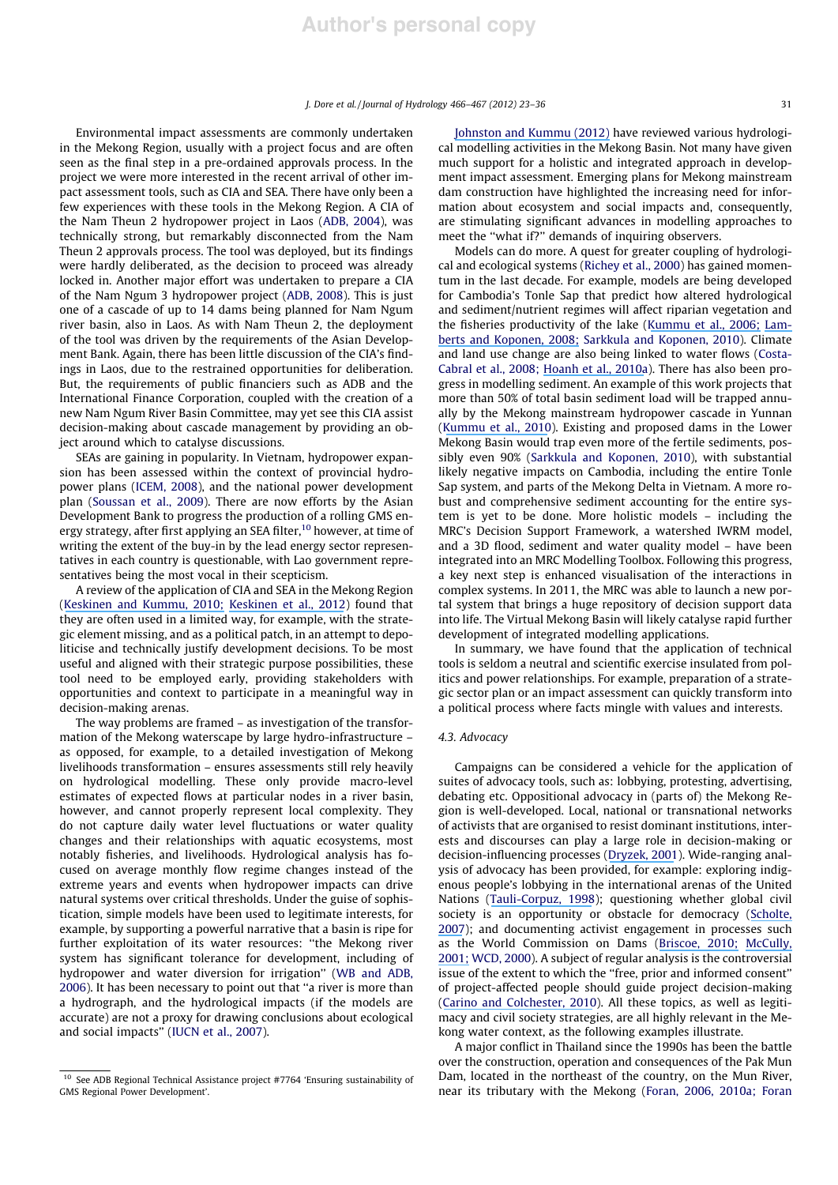Environmental impact assessments are commonly undertaken in the Mekong Region, usually with a project focus and are often seen as the final step in a pre-ordained approvals process. In the project we were more interested in the recent arrival of other impact assessment tools, such as CIA and SEA. There have only been a few experiences with these tools in the Mekong Region. A CIA of the Nam Theun 2 hydropower project in Laos (ADB, 2004), was technically strong, but remarkably disconnected from the Nam Theun 2 approvals process. The tool was deployed, but its findings were hardly deliberated, as the decision to proceed was already locked in. Another major effort was undertaken to prepare a CIA of the Nam Ngum 3 hydropower project (ADB, 2008). This is just one of a cascade of up to 14 dams being planned for Nam Ngum river basin, also in Laos. As with Nam Theun 2, the deployment of the tool was driven by the requirements of the Asian Development Bank. Again, there has been little discussion of the CIA's findings in Laos, due to the restrained opportunities for deliberation. But, the requirements of public financiers such as ADB and the International Finance Corporation, coupled with the creation of a new Nam Ngum River Basin Committee, may yet see this CIA assist decision-making about cascade management by providing an object around which to catalyse discussions.

SEAs are gaining in popularity. In Vietnam, hydropower expansion has been assessed within the context of provincial hydropower plans (ICEM, 2008), and the national power development plan (Soussan et al., 2009). There are now efforts by the Asian Development Bank to progress the production of a rolling GMS energy strategy, after first applying an SEA filter,<sup>10</sup> however, at time of writing the extent of the buy-in by the lead energy sector representatives in each country is questionable, with Lao government representatives being the most vocal in their scepticism.

A review of the application of CIA and SEA in the Mekong Region ([Keskinen and Kummu, 2010;](https://www.researchgate.net/publication/266415643_IMPACT_ASSESSMENT_IN_THE_MEKONG_Review_of_Strategic_Environmental_Assessment_SEA_Cumulative_Impact_Assessment_CIA?el=1_x_8&enrichId=rgreq-ac654145bd4298acd038cc0cce53725d-XXX&enrichSource=Y292ZXJQYWdlOzIzMzc5NjEwMTtBUzoxNzY0NDA2NTgxMTI1MTJAMTQxOTA3ODEzOTI4MQ==) [Keskinen et al., 2012](https://www.researchgate.net/publication/224821529_Mekong_at_the_Crossroads_Next_Steps_for_Impact_Assessment_of_Large_Dams?el=1_x_8&enrichId=rgreq-ac654145bd4298acd038cc0cce53725d-XXX&enrichSource=Y292ZXJQYWdlOzIzMzc5NjEwMTtBUzoxNzY0NDA2NTgxMTI1MTJAMTQxOTA3ODEzOTI4MQ==)) found that they are often used in a limited way, for example, with the strategic element missing, and as a political patch, in an attempt to depoliticise and technically justify development decisions. To be most useful and aligned with their strategic purpose possibilities, these tool need to be employed early, providing stakeholders with opportunities and context to participate in a meaningful way in decision-making arenas.

The way problems are framed – as investigation of the transformation of the Mekong waterscape by large hydro-infrastructure – as opposed, for example, to a detailed investigation of Mekong livelihoods transformation – ensures assessments still rely heavily on hydrological modelling. These only provide macro-level estimates of expected flows at particular nodes in a river basin, however, and cannot properly represent local complexity. They do not capture daily water level fluctuations or water quality changes and their relationships with aquatic ecosystems, most notably fisheries, and livelihoods. Hydrological analysis has focused on average monthly flow regime changes instead of the extreme years and events when hydropower impacts can drive natural systems over critical thresholds. Under the guise of sophistication, simple models have been used to legitimate interests, for example, by supporting a powerful narrative that a basin is ripe for further exploitation of its water resources: ''the Mekong river system has significant tolerance for development, including of hydropower and water diversion for irrigation'' (WB and ADB, 2006). It has been necessary to point out that ''a river is more than a hydrograph, and the hydrological impacts (if the models are accurate) are not a proxy for drawing conclusions about ecological and social impacts'' (IUCN et al., 2007).

[Johnston and Kummu \(2012\)](https://www.researchgate.net/publication/225861914_Water_Resource_Models_in_the_Mekong_Basin_A_Review?el=1_x_8&enrichId=rgreq-ac654145bd4298acd038cc0cce53725d-XXX&enrichSource=Y292ZXJQYWdlOzIzMzc5NjEwMTtBUzoxNzY0NDA2NTgxMTI1MTJAMTQxOTA3ODEzOTI4MQ==) have reviewed various hydrological modelling activities in the Mekong Basin. Not many have given much support for a holistic and integrated approach in development impact assessment. Emerging plans for Mekong mainstream dam construction have highlighted the increasing need for information about ecosystem and social impacts and, consequently, are stimulating significant advances in modelling approaches to meet the ''what if?'' demands of inquiring observers.

Models can do more. A quest for greater coupling of hydrological and ecological systems (Richey et al., 2000) has gained momentum in the last decade. For example, models are being developed for Cambodia's Tonle Sap that predict how altered hydrological and sediment/nutrient regimes will affect riparian vegetation and the fisheries productivity of the lake ([Kummu et al., 2006;](https://www.researchgate.net/publication/232238320_Ecosystem_Management_of_the_Tonle_Sap_Lake_An_Integrated_Modelling_Approach?el=1_x_8&enrichId=rgreq-ac654145bd4298acd038cc0cce53725d-XXX&enrichSource=Y292ZXJQYWdlOzIzMzc5NjEwMTtBUzoxNzY0NDA2NTgxMTI1MTJAMTQxOTA3ODEzOTI4MQ==) [Lam](https://www.researchgate.net/publication/288285621_Flood_pulse_alterations_and_productivity_of_the_Tonle_Sap_ecosystem_A_model_for_impact_assessment?el=1_x_8&enrichId=rgreq-ac654145bd4298acd038cc0cce53725d-XXX&enrichSource=Y292ZXJQYWdlOzIzMzc5NjEwMTtBUzoxNzY0NDA2NTgxMTI1MTJAMTQxOTA3ODEzOTI4MQ==)[berts and Koponen, 2008;](https://www.researchgate.net/publication/288285621_Flood_pulse_alterations_and_productivity_of_the_Tonle_Sap_ecosystem_A_model_for_impact_assessment?el=1_x_8&enrichId=rgreq-ac654145bd4298acd038cc0cce53725d-XXX&enrichSource=Y292ZXJQYWdlOzIzMzc5NjEwMTtBUzoxNzY0NDA2NTgxMTI1MTJAMTQxOTA3ODEzOTI4MQ==) Sarkkula and Koponen, 2010). Climate and land use change are also being linked to water flows (Costa-Cabral et al., 2008; [Hoanh et al., 2010a](https://www.researchgate.net/publication/266261509_Impacts_of_climate_change_and_development_on_Mekong_Flow_regime_First_assessment?el=1_x_8&enrichId=rgreq-ac654145bd4298acd038cc0cce53725d-XXX&enrichSource=Y292ZXJQYWdlOzIzMzc5NjEwMTtBUzoxNzY0NDA2NTgxMTI1MTJAMTQxOTA3ODEzOTI4MQ==)). There has also been progress in modelling sediment. An example of this work projects that more than 50% of total basin sediment load will be trapped annually by the Mekong mainstream hydropower cascade in Yunnan ([Kummu et al., 2010](https://www.researchgate.net/publication/222823257_Basin-wide_sediment_trapping_efficiency_of_emerging_reservoirs_along_the_Mekong?el=1_x_8&enrichId=rgreq-ac654145bd4298acd038cc0cce53725d-XXX&enrichSource=Y292ZXJQYWdlOzIzMzc5NjEwMTtBUzoxNzY0NDA2NTgxMTI1MTJAMTQxOTA3ODEzOTI4MQ==)). Existing and proposed dams in the Lower Mekong Basin would trap even more of the fertile sediments, possibly even 90% (Sarkkula and Koponen, 2010), with substantial likely negative impacts on Cambodia, including the entire Tonle Sap system, and parts of the Mekong Delta in Vietnam. A more robust and comprehensive sediment accounting for the entire system is yet to be done. More holistic models – including the MRC's Decision Support Framework, a watershed IWRM model, and a 3D flood, sediment and water quality model – have been integrated into an MRC Modelling Toolbox. Following this progress, a key next step is enhanced visualisation of the interactions in complex systems. In 2011, the MRC was able to launch a new portal system that brings a huge repository of decision support data into life. The Virtual Mekong Basin will likely catalyse rapid further development of integrated modelling applications.

In summary, we have found that the application of technical tools is seldom a neutral and scientific exercise insulated from politics and power relationships. For example, preparation of a strategic sector plan or an impact assessment can quickly transform into a political process where facts mingle with values and interests.

#### 4.3. Advocacy

Campaigns can be considered a vehicle for the application of suites of advocacy tools, such as: lobbying, protesting, advertising, debating etc. Oppositional advocacy in (parts of) the Mekong Region is well-developed. Local, national or transnational networks of activists that are organised to resist dominant institutions, interests and discourses can play a large role in decision-making or decision-influencing processes ([Dryzek, 2001](https://www.researchgate.net/publication/24089693_Resistance_is_Fertile?el=1_x_8&enrichId=rgreq-ac654145bd4298acd038cc0cce53725d-XXX&enrichSource=Y292ZXJQYWdlOzIzMzc5NjEwMTtBUzoxNzY0NDA2NTgxMTI1MTJAMTQxOTA3ODEzOTI4MQ==)). Wide-ranging analysis of advocacy has been provided, for example: exploring indigenous people's lobbying in the international arenas of the United Nations ([Tauli-Corpuz, 1998](https://www.researchgate.net/publication/288286259_State_of_affairs_in_the_United_Nations_indigenous_peoples)); questioning whether global civil society is an opportunity or obstacle for democracy ([Scholte,](https://www.researchgate.net/publication/298670331_Global_civil_society_-_Opportunity_or_obstacle_for_democracy?el=1_x_8&enrichId=rgreq-ac654145bd4298acd038cc0cce53725d-XXX&enrichSource=Y292ZXJQYWdlOzIzMzc5NjEwMTtBUzoxNzY0NDA2NTgxMTI1MTJAMTQxOTA3ODEzOTI4MQ==) [2007](https://www.researchgate.net/publication/298670331_Global_civil_society_-_Opportunity_or_obstacle_for_democracy?el=1_x_8&enrichId=rgreq-ac654145bd4298acd038cc0cce53725d-XXX&enrichSource=Y292ZXJQYWdlOzIzMzc5NjEwMTtBUzoxNzY0NDA2NTgxMTI1MTJAMTQxOTA3ODEzOTI4MQ==)); and documenting activist engagement in processes such as the World Commission on Dams ([Briscoe, 2010;](https://www.researchgate.net/publication/46093746_Viewpoint_-_Overreach_and_Response_The_Politics_of_the_WCD_and_its_Aftermath?el=1_x_8&enrichId=rgreq-ac654145bd4298acd038cc0cce53725d-XXX&enrichSource=Y292ZXJQYWdlOzIzMzc5NjEwMTtBUzoxNzY0NDA2NTgxMTI1MTJAMTQxOTA3ODEzOTI4MQ==) [McCully,](https://www.researchgate.net/publication/254567954_The_Use_of_a_Trilateral_Network_An_Activist) [2001;](https://www.researchgate.net/publication/254567954_The_Use_of_a_Trilateral_Network_An_Activist) WCD, 2000). A subject of regular analysis is the controversial issue of the extent to which the ''free, prior and informed consent'' of project-affected people should guide project decision-making ([Carino and Colchester, 2010](https://www.researchgate.net/publication/46093748_Viewpoint_-_From_dams_to_development_justice_Progress_with_)). All these topics, as well as legitimacy and civil society strategies, are all highly relevant in the Mekong water context, as the following examples illustrate.

A major conflict in Thailand since the 1990s has been the battle over the construction, operation and consequences of the Pak Mun Dam, located in the northeast of the country, on the Mun River, near its tributary with the Mekong (Foran, 2006, 2010a; Foran

 $10$  See ADB Regional Technical Assistance project #7764 'Ensuring sustainability of GMS Regional Power Development'.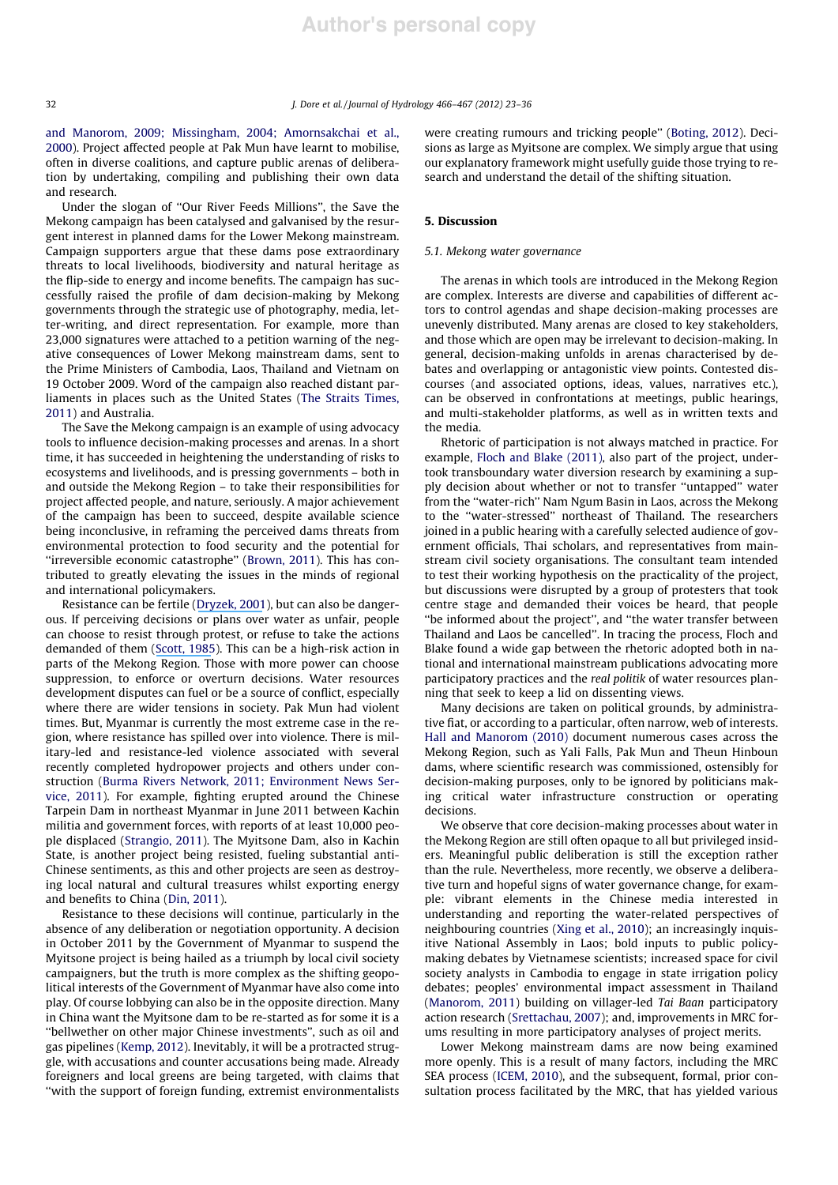and Manorom, 2009; Missingham, 2004; Amornsakchai et al., 2000). Project affected people at Pak Mun have learnt to mobilise, often in diverse coalitions, and capture public arenas of deliberation by undertaking, compiling and publishing their own data and research.

Under the slogan of ''Our River Feeds Millions'', the Save the Mekong campaign has been catalysed and galvanised by the resurgent interest in planned dams for the Lower Mekong mainstream. Campaign supporters argue that these dams pose extraordinary threats to local livelihoods, biodiversity and natural heritage as the flip-side to energy and income benefits. The campaign has successfully raised the profile of dam decision-making by Mekong governments through the strategic use of photography, media, letter-writing, and direct representation. For example, more than 23,000 signatures were attached to a petition warning of the negative consequences of Lower Mekong mainstream dams, sent to the Prime Ministers of Cambodia, Laos, Thailand and Vietnam on 19 October 2009. Word of the campaign also reached distant parliaments in places such as the United States (The Straits Times, 2011) and Australia.

The Save the Mekong campaign is an example of using advocacy tools to influence decision-making processes and arenas. In a short time, it has succeeded in heightening the understanding of risks to ecosystems and livelihoods, and is pressing governments – both in and outside the Mekong Region – to take their responsibilities for project affected people, and nature, seriously. A major achievement of the campaign has been to succeed, despite available science being inconclusive, in reframing the perceived dams threats from environmental protection to food security and the potential for "irreversible economic catastrophe" (Brown, 2011). This has contributed to greatly elevating the issues in the minds of regional and international policymakers.

Resistance can be fertile ([Dryzek, 2001](https://www.researchgate.net/publication/24089693_Resistance_is_Fertile?el=1_x_8&enrichId=rgreq-ac654145bd4298acd038cc0cce53725d-XXX&enrichSource=Y292ZXJQYWdlOzIzMzc5NjEwMTtBUzoxNzY0NDA2NTgxMTI1MTJAMTQxOTA3ODEzOTI4MQ==)), but can also be dangerous. If perceiving decisions or plans over water as unfair, people can choose to resist through protest, or refuse to take the actions demanded of them ([Scott, 1985](https://www.researchgate.net/publication/243660428_Weapons_of_the_Weak_Everyday_Forms_of_Peasant_Resistance?el=1_x_8&enrichId=rgreq-ac654145bd4298acd038cc0cce53725d-XXX&enrichSource=Y292ZXJQYWdlOzIzMzc5NjEwMTtBUzoxNzY0NDA2NTgxMTI1MTJAMTQxOTA3ODEzOTI4MQ==)). This can be a high-risk action in parts of the Mekong Region. Those with more power can choose suppression, to enforce or overturn decisions. Water resources development disputes can fuel or be a source of conflict, especially where there are wider tensions in society. Pak Mun had violent times. But, Myanmar is currently the most extreme case in the region, where resistance has spilled over into violence. There is military-led and resistance-led violence associated with several recently completed hydropower projects and others under construction (Burma Rivers Network, 2011; Environment News Service, 2011). For example, fighting erupted around the Chinese Tarpein Dam in northeast Myanmar in June 2011 between Kachin militia and government forces, with reports of at least 10,000 people displaced (Strangio, 2011). The Myitsone Dam, also in Kachin State, is another project being resisted, fueling substantial anti-Chinese sentiments, as this and other projects are seen as destroying local natural and cultural treasures whilst exporting energy and benefits to China (Din, 2011).

Resistance to these decisions will continue, particularly in the absence of any deliberation or negotiation opportunity. A decision in October 2011 by the Government of Myanmar to suspend the Myitsone project is being hailed as a triumph by local civil society campaigners, but the truth is more complex as the shifting geopolitical interests of the Government of Myanmar have also come into play. Of course lobbying can also be in the opposite direction. Many in China want the Myitsone dam to be re-started as for some it is a ''bellwether on other major Chinese investments'', such as oil and gas pipelines (Kemp, 2012). Inevitably, it will be a protracted struggle, with accusations and counter accusations being made. Already foreigners and local greens are being targeted, with claims that ''with the support of foreign funding, extremist environmentalists were creating rumours and tricking people'' (Boting, 2012). Decisions as large as Myitsone are complex. We simply argue that using our explanatory framework might usefully guide those trying to research and understand the detail of the shifting situation.

## 5. Discussion

#### 5.1. Mekong water governance

The arenas in which tools are introduced in the Mekong Region are complex. Interests are diverse and capabilities of different actors to control agendas and shape decision-making processes are unevenly distributed. Many arenas are closed to key stakeholders, and those which are open may be irrelevant to decision-making. In general, decision-making unfolds in arenas characterised by debates and overlapping or antagonistic view points. Contested discourses (and associated options, ideas, values, narratives etc.), can be observed in confrontations at meetings, public hearings, and multi-stakeholder platforms, as well as in written texts and the media.

Rhetoric of participation is not always matched in practice. For example, Floch and Blake (2011), also part of the project, undertook transboundary water diversion research by examining a supply decision about whether or not to transfer ''untapped'' water from the ''water-rich'' Nam Ngum Basin in Laos, across the Mekong to the ''water-stressed'' northeast of Thailand. The researchers joined in a public hearing with a carefully selected audience of government officials, Thai scholars, and representatives from mainstream civil society organisations. The consultant team intended to test their working hypothesis on the practicality of the project, but discussions were disrupted by a group of protesters that took centre stage and demanded their voices be heard, that people ''be informed about the project'', and ''the water transfer between Thailand and Laos be cancelled''. In tracing the process, Floch and Blake found a wide gap between the rhetoric adopted both in national and international mainstream publications advocating more participatory practices and the real politik of water resources planning that seek to keep a lid on dissenting views.

Many decisions are taken on political grounds, by administrative fiat, or according to a particular, often narrow, web of interests. Hall and Manorom (2010) document numerous cases across the Mekong Region, such as Yali Falls, Pak Mun and Theun Hinboun dams, where scientific research was commissioned, ostensibly for decision-making purposes, only to be ignored by politicians making critical water infrastructure construction or operating decisions.

We observe that core decision-making processes about water in the Mekong Region are still often opaque to all but privileged insiders. Meaningful public deliberation is still the exception rather than the rule. Nevertheless, more recently, we observe a deliberative turn and hopeful signs of water governance change, for example: vibrant elements in the Chinese media interested in understanding and reporting the water-related perspectives of neighbouring countries (Xing et al., 2010); an increasingly inquisitive National Assembly in Laos; bold inputs to public policymaking debates by Vietnamese scientists; increased space for civil society analysts in Cambodia to engage in state irrigation policy debates; peoples' environmental impact assessment in Thailand (Manorom, 2011) building on villager-led Tai Baan participatory action research (Srettachau, 2007); and, improvements in MRC forums resulting in more participatory analyses of project merits.

Lower Mekong mainstream dams are now being examined more openly. This is a result of many factors, including the MRC SEA process (ICEM, 2010), and the subsequent, formal, prior consultation process facilitated by the MRC, that has yielded various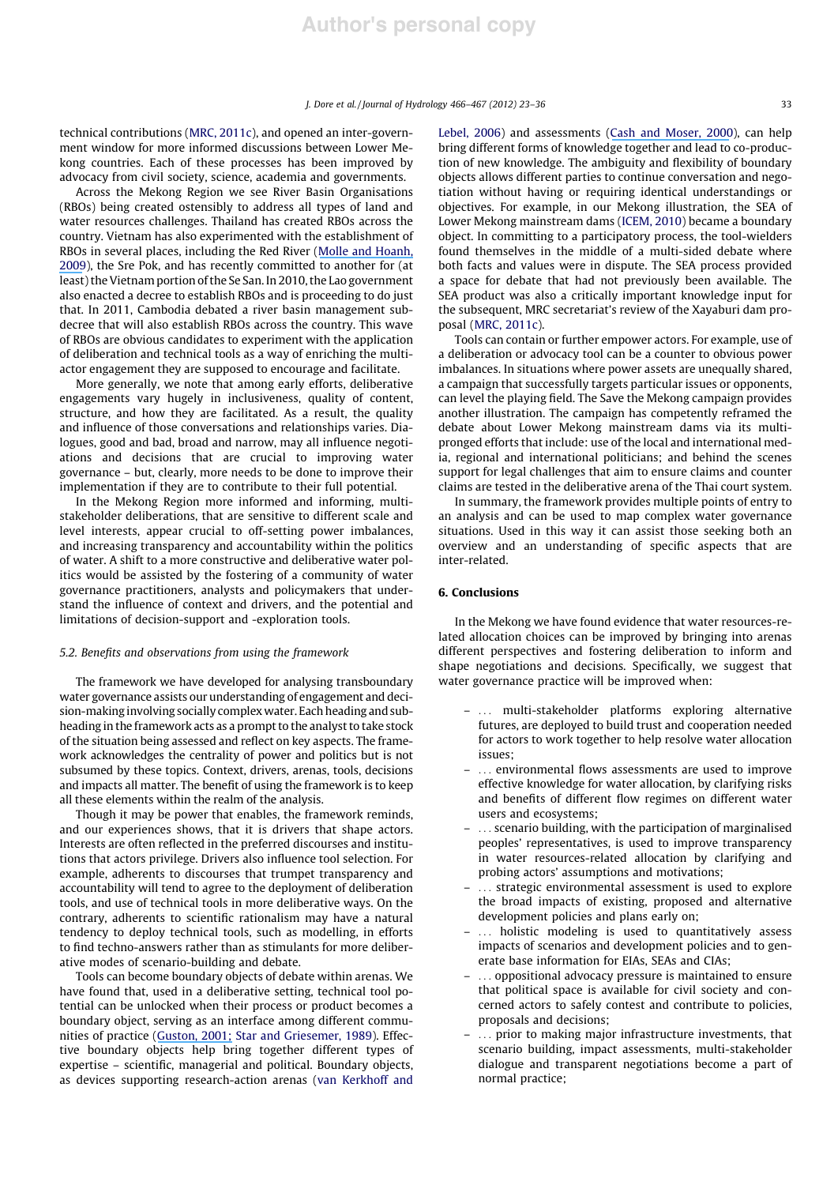technical contributions (MRC, 2011c), and opened an inter-government window for more informed discussions between Lower Mekong countries. Each of these processes has been improved by advocacy from civil society, science, academia and governments.

Across the Mekong Region we see River Basin Organisations (RBOs) being created ostensibly to address all types of land and water resources challenges. Thailand has created RBOs across the country. Vietnam has also experimented with the establishment of RBOs in several places, including the Red River ([Molle and Hoanh,](https://www.researchgate.net/publication/254426150_Implementing_integrated_river_basin_management_lessons_from_the_Red_River_Basin_Vietnam?el=1_x_8&enrichId=rgreq-ac654145bd4298acd038cc0cce53725d-XXX&enrichSource=Y292ZXJQYWdlOzIzMzc5NjEwMTtBUzoxNzY0NDA2NTgxMTI1MTJAMTQxOTA3ODEzOTI4MQ==) [2009](https://www.researchgate.net/publication/254426150_Implementing_integrated_river_basin_management_lessons_from_the_Red_River_Basin_Vietnam?el=1_x_8&enrichId=rgreq-ac654145bd4298acd038cc0cce53725d-XXX&enrichSource=Y292ZXJQYWdlOzIzMzc5NjEwMTtBUzoxNzY0NDA2NTgxMTI1MTJAMTQxOTA3ODEzOTI4MQ==)), the Sre Pok, and has recently committed to another for (at least) the Vietnam portion of the Se San. In 2010, the Lao government also enacted a decree to establish RBOs and is proceeding to do just that. In 2011, Cambodia debated a river basin management subdecree that will also establish RBOs across the country. This wave of RBOs are obvious candidates to experiment with the application of deliberation and technical tools as a way of enriching the multiactor engagement they are supposed to encourage and facilitate.

More generally, we note that among early efforts, deliberative engagements vary hugely in inclusiveness, quality of content, structure, and how they are facilitated. As a result, the quality and influence of those conversations and relationships varies. Dialogues, good and bad, broad and narrow, may all influence negotiations and decisions that are crucial to improving water governance – but, clearly, more needs to be done to improve their implementation if they are to contribute to their full potential.

In the Mekong Region more informed and informing, multistakeholder deliberations, that are sensitive to different scale and level interests, appear crucial to off-setting power imbalances, and increasing transparency and accountability within the politics of water. A shift to a more constructive and deliberative water politics would be assisted by the fostering of a community of water governance practitioners, analysts and policymakers that understand the influence of context and drivers, and the potential and limitations of decision-support and -exploration tools.

## 5.2. Benefits and observations from using the framework

The framework we have developed for analysing transboundary water governance assists our understanding of engagement and decision-making involving socially complex water. Each heading and subheading in the framework acts as a prompt to the analyst to take stock of the situation being assessed and reflect on key aspects. The framework acknowledges the centrality of power and politics but is not subsumed by these topics. Context, drivers, arenas, tools, decisions and impacts all matter. The benefit of using the framework is to keep all these elements within the realm of the analysis.

Though it may be power that enables, the framework reminds, and our experiences shows, that it is drivers that shape actors. Interests are often reflected in the preferred discourses and institutions that actors privilege. Drivers also influence tool selection. For example, adherents to discourses that trumpet transparency and accountability will tend to agree to the deployment of deliberation tools, and use of technical tools in more deliberative ways. On the contrary, adherents to scientific rationalism may have a natural tendency to deploy technical tools, such as modelling, in efforts to find techno-answers rather than as stimulants for more deliberative modes of scenario-building and debate.

Tools can become boundary objects of debate within arenas. We have found that, used in a deliberative setting, technical tool potential can be unlocked when their process or product becomes a boundary object, serving as an interface among different communities of practice ([Guston, 2001;](https://www.researchgate.net/publication/235413120_Boundary_Organizations_in_Environmental_Policy_and_Science_An_Introduction?el=1_x_8&enrichId=rgreq-ac654145bd4298acd038cc0cce53725d-XXX&enrichSource=Y292ZXJQYWdlOzIzMzc5NjEwMTtBUzoxNzY0NDA2NTgxMTI1MTJAMTQxOTA3ODEzOTI4MQ==) Star and Griesemer, 1989). Effective boundary objects help bring together different types of expertise – scientific, managerial and political. Boundary objects, as devices supporting research-action arenas (van Kerkhoff and Lebel, 2006) and assessments ([Cash and Moser, 2000](https://www.researchgate.net/publication/222538044_Linking_Global_and_Local_Scales_Designing_Dynamic_Assessment_and_Management_Processes?el=1_x_8&enrichId=rgreq-ac654145bd4298acd038cc0cce53725d-XXX&enrichSource=Y292ZXJQYWdlOzIzMzc5NjEwMTtBUzoxNzY0NDA2NTgxMTI1MTJAMTQxOTA3ODEzOTI4MQ==)), can help bring different forms of knowledge together and lead to co-production of new knowledge. The ambiguity and flexibility of boundary objects allows different parties to continue conversation and negotiation without having or requiring identical understandings or objectives. For example, in our Mekong illustration, the SEA of Lower Mekong mainstream dams (ICEM, 2010) became a boundary object. In committing to a participatory process, the tool-wielders found themselves in the middle of a multi-sided debate where both facts and values were in dispute. The SEA process provided a space for debate that had not previously been available. The SEA product was also a critically important knowledge input for the subsequent, MRC secretariat's review of the Xayaburi dam proposal (MRC, 2011c).

Tools can contain or further empower actors. For example, use of a deliberation or advocacy tool can be a counter to obvious power imbalances. In situations where power assets are unequally shared, a campaign that successfully targets particular issues or opponents, can level the playing field. The Save the Mekong campaign provides another illustration. The campaign has competently reframed the debate about Lower Mekong mainstream dams via its multipronged efforts that include: use of the local and international media, regional and international politicians; and behind the scenes support for legal challenges that aim to ensure claims and counter claims are tested in the deliberative arena of the Thai court system.

In summary, the framework provides multiple points of entry to an analysis and can be used to map complex water governance situations. Used in this way it can assist those seeking both an overview and an understanding of specific aspects that are inter-related.

## 6. Conclusions

In the Mekong we have found evidence that water resources-related allocation choices can be improved by bringing into arenas different perspectives and fostering deliberation to inform and shape negotiations and decisions. Specifically, we suggest that water governance practice will be improved when:

- ... multi-stakeholder platforms exploring alternative futures, are deployed to build trust and cooperation needed for actors to work together to help resolve water allocation issues;
- ... environmental flows assessments are used to improve effective knowledge for water allocation, by clarifying risks and benefits of different flow regimes on different water users and ecosystems;
- ... scenario building, with the participation of marginalised peoples' representatives, is used to improve transparency in water resources-related allocation by clarifying and probing actors' assumptions and motivations;
- ... strategic environmental assessment is used to explore the broad impacts of existing, proposed and alternative development policies and plans early on;
- ... holistic modeling is used to quantitatively assess impacts of scenarios and development policies and to generate base information for EIAs, SEAs and CIAs;
- ... oppositional advocacy pressure is maintained to ensure that political space is available for civil society and concerned actors to safely contest and contribute to policies, proposals and decisions;
- ... prior to making major infrastructure investments, that scenario building, impact assessments, multi-stakeholder dialogue and transparent negotiations become a part of normal practice;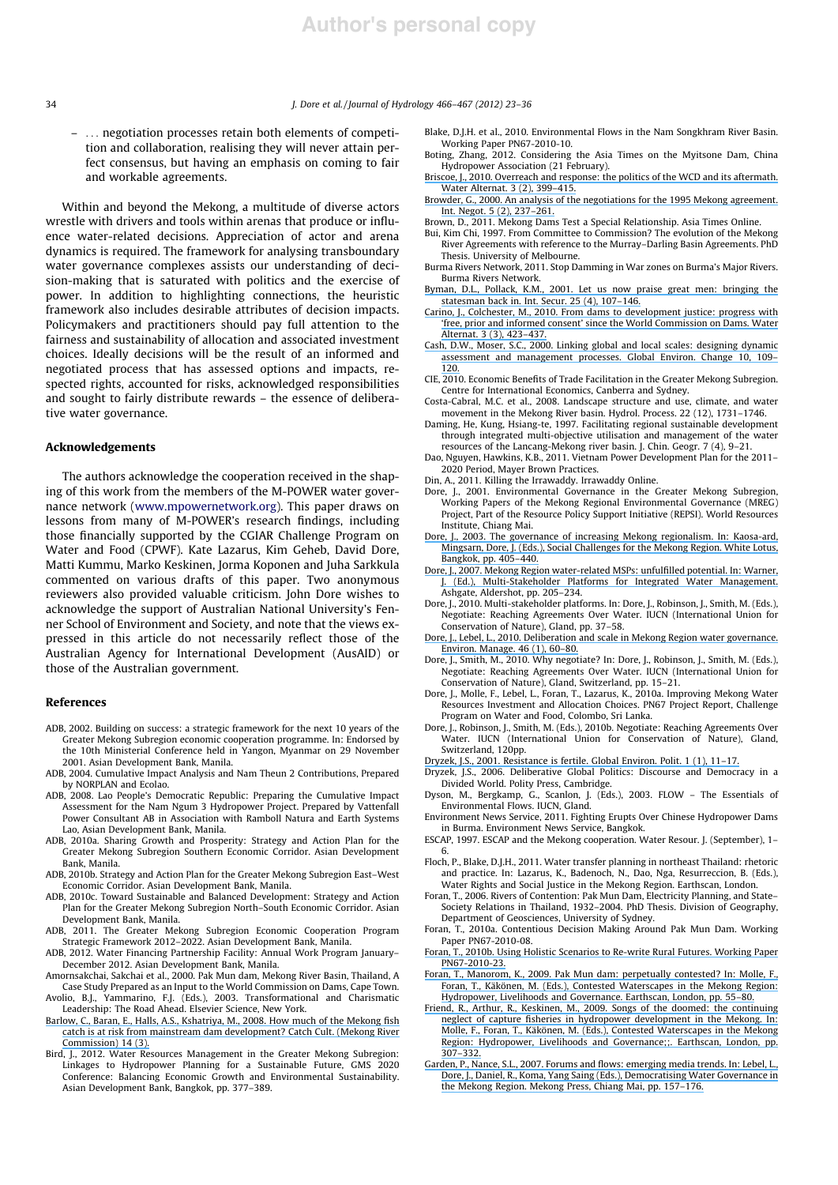– ... negotiation processes retain both elements of competition and collaboration, realising they will never attain perfect consensus, but having an emphasis on coming to fair and workable agreements.

Within and beyond the Mekong, a multitude of diverse actors wrestle with drivers and tools within arenas that produce or influence water-related decisions. Appreciation of actor and arena dynamics is required. The framework for analysing transboundary water governance complexes assists our understanding of decision-making that is saturated with politics and the exercise of power. In addition to highlighting connections, the heuristic framework also includes desirable attributes of decision impacts. Policymakers and practitioners should pay full attention to the fairness and sustainability of allocation and associated investment choices. Ideally decisions will be the result of an informed and negotiated process that has assessed options and impacts, respected rights, accounted for risks, acknowledged responsibilities and sought to fairly distribute rewards – the essence of deliberative water governance.

## Acknowledgements

The authors acknowledge the cooperation received in the shaping of this work from the members of the M-POWER water governance network (www.mpowernetwork.org). This paper draws on lessons from many of M-POWER's research findings, including those financially supported by the CGIAR Challenge Program on Water and Food (CPWF). Kate Lazarus, Kim Geheb, David Dore, Matti Kummu, Marko Keskinen, Jorma Koponen and Juha Sarkkula commented on various drafts of this paper. Two anonymous reviewers also provided valuable criticism. John Dore wishes to acknowledge the support of Australian National University's Fenner School of Environment and Society, and note that the views expressed in this article do not necessarily reflect those of the Australian Agency for International Development (AusAID) or those of the Australian government.

#### References

- ADB, 2002. Building on success: a strategic framework for the next 10 years of the Greater Mekong Subregion economic cooperation programme. In: Endorsed by the 10th Ministerial Conference held in Yangon, Myanmar on 29 November 2001. Asian Development Bank, Manila.
- ADB, 2004. Cumulative Impact Analysis and Nam Theun 2 Contributions, Prepared by NORPLAN and Ecolao.
- ADB, 2008. Lao People's Democratic Republic: Preparing the Cumulative Impact Assessment for the Nam Ngum 3 Hydropower Project. Prepared by Vattenfall Power Consultant AB in Association with Ramboll Natura and Earth Systems Lao, Asian Development Bank, Manila.
- ADB, 2010a. Sharing Growth and Prosperity: Strategy and Action Plan for the Greater Mekong Subregion Southern Economic Corridor. Asian Development Bank, Manila.
- ADB, 2010b. Strategy and Action Plan for the Greater Mekong Subregion East–West Economic Corridor. Asian Development Bank, Manila.
- ADB, 2010c. Toward Sustainable and Balanced Development: Strategy and Action Plan for the Greater Mekong Subregion North–South Economic Corridor. Asian Development Bank, Manila.
- ADB, 2011. The Greater Mekong Subregion Economic Cooperation Program Strategic Framework 2012–2022. Asian Development Bank, Manila.
- ADB, 2012. Water Financing Partnership Facility: Annual Work Program January– December 2012. Asian Development Bank, Manila.
- Amornsakchai, Sakchai et al., 2000. Pak Mun dam, Mekong River Basin, Thailand, A Case Study Prepared as an Input to the World Commission on Dams, Cape Town.
- Avolio, B.J., Yammarino, F.J. (Eds.), 2003. Transformational and Charismatic
- Leadership: The Road Ahead. Elsevier Science, New York. [Barlow, C., Baran, E., Halls, A.S., Kshatriya, M., 2008. How much of the Mekong fish](https://www.researchgate.net/publication/237347159_How_much_of_the_Mekong_fish_catch_is_at_risk_from_mainstream_dam_development?el=1_x_8&enrichId=rgreq-ac654145bd4298acd038cc0cce53725d-XXX&enrichSource=Y292ZXJQYWdlOzIzMzc5NjEwMTtBUzoxNzY0NDA2NTgxMTI1MTJAMTQxOTA3ODEzOTI4MQ==) [catch is at risk from mainstream dam development? Catch Cult. \(Mekong River](https://www.researchgate.net/publication/237347159_How_much_of_the_Mekong_fish_catch_is_at_risk_from_mainstream_dam_development?el=1_x_8&enrichId=rgreq-ac654145bd4298acd038cc0cce53725d-XXX&enrichSource=Y292ZXJQYWdlOzIzMzc5NjEwMTtBUzoxNzY0NDA2NTgxMTI1MTJAMTQxOTA3ODEzOTI4MQ==) [Commission\) 14 \(3\).](https://www.researchgate.net/publication/237347159_How_much_of_the_Mekong_fish_catch_is_at_risk_from_mainstream_dam_development?el=1_x_8&enrichId=rgreq-ac654145bd4298acd038cc0cce53725d-XXX&enrichSource=Y292ZXJQYWdlOzIzMzc5NjEwMTtBUzoxNzY0NDA2NTgxMTI1MTJAMTQxOTA3ODEzOTI4MQ==)
- Bird, J., 2012. Water Resources Management in the Greater Mekong Subregion: Linkages to Hydropower Planning for a Sustainable Future, GMS 2020 Conference: Balancing Economic Growth and Environmental Sustainability. Asian Development Bank, Bangkok, pp. 377–389.
- Blake, D.J.H. et al., 2010. Environmental Flows in the Nam Songkhram River Basin. Working Paper PN67-2010-10.
- Boting, Zhang, 2012. Considering the Asia Times on the Myitsone Dam, China Hydropower Association (21 February).
- [Briscoe, J., 2010. Overreach and response: the politics of the WCD and its aftermath.](https://www.researchgate.net/publication/46093746_Viewpoint_-_Overreach_and_Response_The_Politics_of_the_WCD_and_its_Aftermath?el=1_x_8&enrichId=rgreq-ac654145bd4298acd038cc0cce53725d-XXX&enrichSource=Y292ZXJQYWdlOzIzMzc5NjEwMTtBUzoxNzY0NDA2NTgxMTI1MTJAMTQxOTA3ODEzOTI4MQ==) [Water Alternat. 3 \(2\), 399–415.](https://www.researchgate.net/publication/46093746_Viewpoint_-_Overreach_and_Response_The_Politics_of_the_WCD_and_its_Aftermath?el=1_x_8&enrichId=rgreq-ac654145bd4298acd038cc0cce53725d-XXX&enrichSource=Y292ZXJQYWdlOzIzMzc5NjEwMTtBUzoxNzY0NDA2NTgxMTI1MTJAMTQxOTA3ODEzOTI4MQ==)
- [Browder, G., 2000. An analysis of the negotiations for the 1995 Mekong agreement.](https://www.researchgate.net/publication/233582609_An_Analysis_of_the_Negotiations_for_the_1995_Mekong_Agreement?el=1_x_8&enrichId=rgreq-ac654145bd4298acd038cc0cce53725d-XXX&enrichSource=Y292ZXJQYWdlOzIzMzc5NjEwMTtBUzoxNzY0NDA2NTgxMTI1MTJAMTQxOTA3ODEzOTI4MQ==) [Int. Negot. 5 \(2\), 237–261.](https://www.researchgate.net/publication/233582609_An_Analysis_of_the_Negotiations_for_the_1995_Mekong_Agreement?el=1_x_8&enrichId=rgreq-ac654145bd4298acd038cc0cce53725d-XXX&enrichSource=Y292ZXJQYWdlOzIzMzc5NjEwMTtBUzoxNzY0NDA2NTgxMTI1MTJAMTQxOTA3ODEzOTI4MQ==)
- Brown, D., 2011. Mekong Dams Test a Special Relationship. Asia Times Online.
- Bui, Kim Chi, 1997. From Committee to Commission? The evolution of the Mekong River Agreements with reference to the Murray–Darling Basin Agreements. PhD Thesis. University of Melbourne.
- Burma Rivers Network, 2011. Stop Damming in War zones on Burma's Major Rivers. Burma Rivers Network.
- [Byman, D.L., Pollack, K.M., 2001. Let us now praise great men: bringing the](https://www.researchgate.net/publication/236727744_Let_Us_Now_Praise_Great_Men_Bringing_the_Statesman_Back_In?el=1_x_8&enrichId=rgreq-ac654145bd4298acd038cc0cce53725d-XXX&enrichSource=Y292ZXJQYWdlOzIzMzc5NjEwMTtBUzoxNzY0NDA2NTgxMTI1MTJAMTQxOTA3ODEzOTI4MQ==) [statesman back in. Int. Secur. 25 \(4\), 107–146.](https://www.researchgate.net/publication/236727744_Let_Us_Now_Praise_Great_Men_Bringing_the_Statesman_Back_In?el=1_x_8&enrichId=rgreq-ac654145bd4298acd038cc0cce53725d-XXX&enrichSource=Y292ZXJQYWdlOzIzMzc5NjEwMTtBUzoxNzY0NDA2NTgxMTI1MTJAMTQxOTA3ODEzOTI4MQ==)
- [Carino, J., Colchester, M., 2010. From dams to development justice: progress with](https://www.researchgate.net/publication/46093748_Viewpoint_-_From_dams_to_development_justice_Progress_with_) ['free, prior and informed consent' since the World Commission on Dams. Water](https://www.researchgate.net/publication/46093748_Viewpoint_-_From_dams_to_development_justice_Progress_with_) [Alternat. 3 \(3\), 423–437.](https://www.researchgate.net/publication/46093748_Viewpoint_-_From_dams_to_development_justice_Progress_with_)
- [Cash, D.W., Moser, S.C., 2000. Linking global and local scales: designing dynamic](https://www.researchgate.net/publication/222538044_Linking_Global_and_Local_Scales_Designing_Dynamic_Assessment_and_Management_Processes?el=1_x_8&enrichId=rgreq-ac654145bd4298acd038cc0cce53725d-XXX&enrichSource=Y292ZXJQYWdlOzIzMzc5NjEwMTtBUzoxNzY0NDA2NTgxMTI1MTJAMTQxOTA3ODEzOTI4MQ==) [assessment and management processes. Global Environ. Change 10, 109–](https://www.researchgate.net/publication/222538044_Linking_Global_and_Local_Scales_Designing_Dynamic_Assessment_and_Management_Processes?el=1_x_8&enrichId=rgreq-ac654145bd4298acd038cc0cce53725d-XXX&enrichSource=Y292ZXJQYWdlOzIzMzc5NjEwMTtBUzoxNzY0NDA2NTgxMTI1MTJAMTQxOTA3ODEzOTI4MQ==) [120.](https://www.researchgate.net/publication/222538044_Linking_Global_and_Local_Scales_Designing_Dynamic_Assessment_and_Management_Processes?el=1_x_8&enrichId=rgreq-ac654145bd4298acd038cc0cce53725d-XXX&enrichSource=Y292ZXJQYWdlOzIzMzc5NjEwMTtBUzoxNzY0NDA2NTgxMTI1MTJAMTQxOTA3ODEzOTI4MQ==)
- CIE, 2010. Economic Benefits of Trade Facilitation in the Greater Mekong Subregion. Centre for International Economics, Canberra and Sydney.
- Costa-Cabral, M.C. et al., 2008. Landscape structure and use, climate, and water movement in the Mekong River basin. Hydrol. Process. 22 (12), 1731–1746.
- Daming, He, Kung, Hsiang-te, 1997. Facilitating regional sustainable development through integrated multi-objective utilisation and management of the water
- resources of the Lancang-Mekong river basin. J. Chin. Geogr. 7 (4), 9–21. Dao, Nguyen, Hawkins, K.B., 2011. Vietnam Power Development Plan for the 2011– 2020 Period, Mayer Brown Practices.
- Din, A., 2011. Killing the Irrawaddy. Irrawaddy Online.
- Dore, J., 2001. Environmental Governance in the Greater Mekong Subregion, Working Papers of the Mekong Regional Environmental Governance (MREG) Project, Part of the Resource Policy Support Initiative (REPSI). World Resources Institute, Chiang Mai.
- [Dore, J., 2003. The governance of increasing Mekong regionalism. In: Kaosa-ard,](https://www.researchgate.net/publication/279524722_The_governance_of_increasing_Mekong_regionalism?el=1_x_8&enrichId=rgreq-ac654145bd4298acd038cc0cce53725d-XXX&enrichSource=Y292ZXJQYWdlOzIzMzc5NjEwMTtBUzoxNzY0NDA2NTgxMTI1MTJAMTQxOTA3ODEzOTI4MQ==) [Mingsarn, Dore, J. \(Eds.\), Social Challenges for the Mekong Region. White Lotus,](https://www.researchgate.net/publication/279524722_The_governance_of_increasing_Mekong_regionalism?el=1_x_8&enrichId=rgreq-ac654145bd4298acd038cc0cce53725d-XXX&enrichSource=Y292ZXJQYWdlOzIzMzc5NjEwMTtBUzoxNzY0NDA2NTgxMTI1MTJAMTQxOTA3ODEzOTI4MQ==) [Bangkok, pp. 405–440.](https://www.researchgate.net/publication/279524722_The_governance_of_increasing_Mekong_regionalism?el=1_x_8&enrichId=rgreq-ac654145bd4298acd038cc0cce53725d-XXX&enrichSource=Y292ZXJQYWdlOzIzMzc5NjEwMTtBUzoxNzY0NDA2NTgxMTI1MTJAMTQxOTA3ODEzOTI4MQ==)
- [Dore, J., 2007. Mekong Region water-related MSPs: unfulfilled potential. In: Warner,](https://www.researchgate.net/publication/279523984_Mekong_Region_water-related_MSPs_Unfulfilled_potential?el=1_x_8&enrichId=rgreq-ac654145bd4298acd038cc0cce53725d-XXX&enrichSource=Y292ZXJQYWdlOzIzMzc5NjEwMTtBUzoxNzY0NDA2NTgxMTI1MTJAMTQxOTA3ODEzOTI4MQ==) [J. \(Ed.\), Multi-Stakeholder Platforms for Integrated Water Management.](https://www.researchgate.net/publication/279523984_Mekong_Region_water-related_MSPs_Unfulfilled_potential?el=1_x_8&enrichId=rgreq-ac654145bd4298acd038cc0cce53725d-XXX&enrichSource=Y292ZXJQYWdlOzIzMzc5NjEwMTtBUzoxNzY0NDA2NTgxMTI1MTJAMTQxOTA3ODEzOTI4MQ==) Ashgate, Aldershot, pp. 205–234.
- Dore, J., 2010. Multi-stakeholder platforms. In: Dore, J., Robinson, J., Smith, M. (Eds.), Negotiate: Reaching Agreements Over Water. IUCN (International Union for Conservation of Nature), Gland, pp. 37–58.
- [Dore, J., Lebel, L., 2010. Deliberation and scale in Mekong Region water governance.](https://www.researchgate.net/publication/45189230_Deliberation_and_Scale_in_Mekong_Region_Water_Governance?el=1_x_8&enrichId=rgreq-ac654145bd4298acd038cc0cce53725d-XXX&enrichSource=Y292ZXJQYWdlOzIzMzc5NjEwMTtBUzoxNzY0NDA2NTgxMTI1MTJAMTQxOTA3ODEzOTI4MQ==) [Environ. Manage. 46 \(1\), 60–80.](https://www.researchgate.net/publication/45189230_Deliberation_and_Scale_in_Mekong_Region_Water_Governance?el=1_x_8&enrichId=rgreq-ac654145bd4298acd038cc0cce53725d-XXX&enrichSource=Y292ZXJQYWdlOzIzMzc5NjEwMTtBUzoxNzY0NDA2NTgxMTI1MTJAMTQxOTA3ODEzOTI4MQ==)
- Dore, J., Smith, M., 2010. Why negotiate? In: Dore, J., Robinson, J., Smith, M. (Eds.), Negotiate: Reaching Agreements Over Water. IUCN (International Union for Conservation of Nature), Gland, Switzerland, pp. 15–21.
- Dore, J., Molle, F., Lebel, L., Foran, T., Lazarus, K., 2010a. Improving Mekong Water Resources Investment and Allocation Choices. PN67 Project Report, Challenge Program on Water and Food, Colombo, Sri Lanka.
- Dore, J., Robinson, J., Smith, M. (Eds.), 2010b. Negotiate: Reaching Agreements Over Water. IUCN (International Union for Conservation of Nature), Gland, Switzerland, 120pp.
- 
- [Dryzek, J.S., 2001. Resistance is fertile. Global Environ. Polit. 1 \(1\), 11–17.](https://www.researchgate.net/publication/24089693_Resistance_is_Fertile?el=1_x_8&enrichId=rgreq-ac654145bd4298acd038cc0cce53725d-XXX&enrichSource=Y292ZXJQYWdlOzIzMzc5NjEwMTtBUzoxNzY0NDA2NTgxMTI1MTJAMTQxOTA3ODEzOTI4MQ==) Dryzek, J.S., 2006. Deliberative Global Politics: Discourse and Democracy in a Divided World. Polity Press, Cambridge.
- Dyson, M., Bergkamp, G., Scanlon, J. (Eds.), 2003. FLOW The Essentials of Environmental Flows. IUCN, Gland.
- Environment News Service, 2011. Fighting Erupts Over Chinese Hydropower Dams in Burma. Environment News Service, Bangkok.
- ESCAP, 1997. ESCAP and the Mekong cooperation. Water Resour. J. (September), 1– 6.
- Floch, P., Blake, D.J.H., 2011. Water transfer planning in northeast Thailand: rhetoric and practice. In: Lazarus, K., Badenoch, N., Dao, Nga, Resurreccion, B. (Eds.), Water Rights and Social Justice in the Mekong Region. Earthscan, London.
- Foran, T., 2006. Rivers of Contention: Pak Mun Dam, Electricity Planning, and State– Society Relations in Thailand, 1932–2004. PhD Thesis. Division of Geography,
- Department of Geosciences, University of Sydney. Foran, T., 2010a. Contentious Decision Making Around Pak Mun Dam. Working Paper PN67-2010-08.
- [Foran, T., 2010b. Using Holistic Scenarios to Re-write Rural Futures. Working Paper](https://www.researchgate.net/publication/277143017_Using_holistic_scenarios_to_re-write_rural_futures_Chapter_15?el=1_x_8&enrichId=rgreq-ac654145bd4298acd038cc0cce53725d-XXX&enrichSource=Y292ZXJQYWdlOzIzMzc5NjEwMTtBUzoxNzY0NDA2NTgxMTI1MTJAMTQxOTA3ODEzOTI4MQ==) [PN67-2010-23.](https://www.researchgate.net/publication/277143017_Using_holistic_scenarios_to_re-write_rural_futures_Chapter_15?el=1_x_8&enrichId=rgreq-ac654145bd4298acd038cc0cce53725d-XXX&enrichSource=Y292ZXJQYWdlOzIzMzc5NjEwMTtBUzoxNzY0NDA2NTgxMTI1MTJAMTQxOTA3ODEzOTI4MQ==)
- [Foran, T., Manorom, K., 2009. Pak Mun dam: perpetually contested? In: Molle, F.,](https://www.researchgate.net/publication/277142761_Pak_Mun_dam_perpetually_contested?el=1_x_8&enrichId=rgreq-ac654145bd4298acd038cc0cce53725d-XXX&enrichSource=Y292ZXJQYWdlOzIzMzc5NjEwMTtBUzoxNzY0NDA2NTgxMTI1MTJAMTQxOTA3ODEzOTI4MQ==) [Foran, T., Käkönen, M. \(Eds.\), Contested Waterscapes in the Mekong Region:](https://www.researchgate.net/publication/277142761_Pak_Mun_dam_perpetually_contested?el=1_x_8&enrichId=rgreq-ac654145bd4298acd038cc0cce53725d-XXX&enrichSource=Y292ZXJQYWdlOzIzMzc5NjEwMTtBUzoxNzY0NDA2NTgxMTI1MTJAMTQxOTA3ODEzOTI4MQ==) [Hydropower, Livelihoods and Governance. Earthscan, London, pp. 55–80.](https://www.researchgate.net/publication/277142761_Pak_Mun_dam_perpetually_contested?el=1_x_8&enrichId=rgreq-ac654145bd4298acd038cc0cce53725d-XXX&enrichSource=Y292ZXJQYWdlOzIzMzc5NjEwMTtBUzoxNzY0NDA2NTgxMTI1MTJAMTQxOTA3ODEzOTI4MQ==)
- [Friend, R., Arthur, R., Keskinen, M., 2009. Songs of the doomed: the continuing](https://www.researchgate.net/publication/260532768_Songs_of_the_doomed_The_continuing_neglect_of_capture_fisheries_in_hydropower_development_in_the_Mekong?el=1_x_8&enrichId=rgreq-ac654145bd4298acd038cc0cce53725d-XXX&enrichSource=Y292ZXJQYWdlOzIzMzc5NjEwMTtBUzoxNzY0NDA2NTgxMTI1MTJAMTQxOTA3ODEzOTI4MQ==) [neglect of capture fisheries in hydropower development in the Mekong. In:](https://www.researchgate.net/publication/260532768_Songs_of_the_doomed_The_continuing_neglect_of_capture_fisheries_in_hydropower_development_in_the_Mekong?el=1_x_8&enrichId=rgreq-ac654145bd4298acd038cc0cce53725d-XXX&enrichSource=Y292ZXJQYWdlOzIzMzc5NjEwMTtBUzoxNzY0NDA2NTgxMTI1MTJAMTQxOTA3ODEzOTI4MQ==) [Molle, F., Foran, T., Käkönen, M. \(Eds.\), Contested Waterscapes in the Mekong](https://www.researchgate.net/publication/260532768_Songs_of_the_doomed_The_continuing_neglect_of_capture_fisheries_in_hydropower_development_in_the_Mekong?el=1_x_8&enrichId=rgreq-ac654145bd4298acd038cc0cce53725d-XXX&enrichSource=Y292ZXJQYWdlOzIzMzc5NjEwMTtBUzoxNzY0NDA2NTgxMTI1MTJAMTQxOTA3ODEzOTI4MQ==) [Region: Hydropower, Livelihoods and Governance;;. Earthscan, London, pp.](https://www.researchgate.net/publication/260532768_Songs_of_the_doomed_The_continuing_neglect_of_capture_fisheries_in_hydropower_development_in_the_Mekong?el=1_x_8&enrichId=rgreq-ac654145bd4298acd038cc0cce53725d-XXX&enrichSource=Y292ZXJQYWdlOzIzMzc5NjEwMTtBUzoxNzY0NDA2NTgxMTI1MTJAMTQxOTA3ODEzOTI4MQ==) [307–332.](https://www.researchgate.net/publication/260532768_Songs_of_the_doomed_The_continuing_neglect_of_capture_fisheries_in_hydropower_development_in_the_Mekong?el=1_x_8&enrichId=rgreq-ac654145bd4298acd038cc0cce53725d-XXX&enrichSource=Y292ZXJQYWdlOzIzMzc5NjEwMTtBUzoxNzY0NDA2NTgxMTI1MTJAMTQxOTA3ODEzOTI4MQ==)
- [Garden, P., Nance, S.L., 2007. Forums and flows: emerging media trends. In: Lebel, L.,](https://www.researchgate.net/publication/290128853_Forums_and_flows_emerging_media_trends?el=1_x_8&enrichId=rgreq-ac654145bd4298acd038cc0cce53725d-XXX&enrichSource=Y292ZXJQYWdlOzIzMzc5NjEwMTtBUzoxNzY0NDA2NTgxMTI1MTJAMTQxOTA3ODEzOTI4MQ==) [Dore, J., Daniel, R., Koma, Yang Saing \(Eds.\), Democratising Water Governance in](https://www.researchgate.net/publication/290128853_Forums_and_flows_emerging_media_trends?el=1_x_8&enrichId=rgreq-ac654145bd4298acd038cc0cce53725d-XXX&enrichSource=Y292ZXJQYWdlOzIzMzc5NjEwMTtBUzoxNzY0NDA2NTgxMTI1MTJAMTQxOTA3ODEzOTI4MQ==) [the Mekong Region. Mekong Press, Chiang Mai, pp. 157–176.](https://www.researchgate.net/publication/290128853_Forums_and_flows_emerging_media_trends?el=1_x_8&enrichId=rgreq-ac654145bd4298acd038cc0cce53725d-XXX&enrichSource=Y292ZXJQYWdlOzIzMzc5NjEwMTtBUzoxNzY0NDA2NTgxMTI1MTJAMTQxOTA3ODEzOTI4MQ==)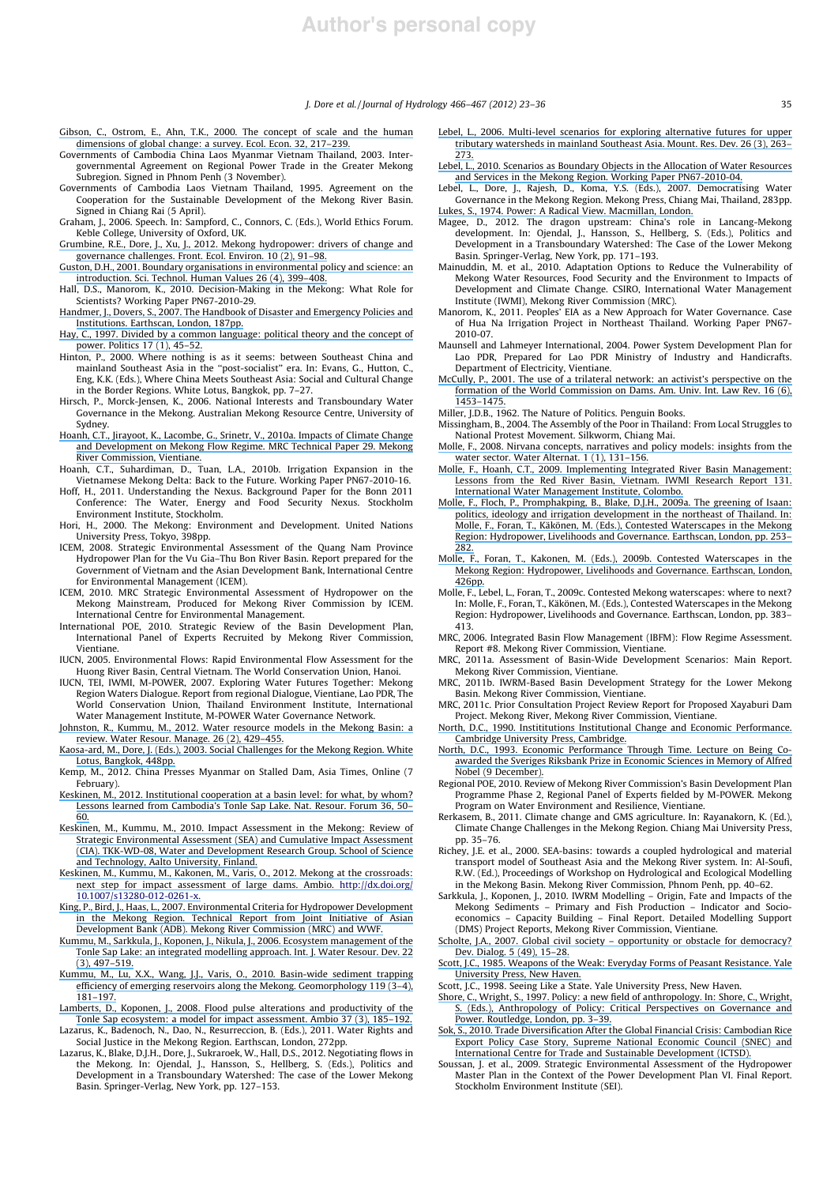- [Gibson, C., Ostrom, E., Ahn, T.K., 2000. The concept of scale and the human](https://www.researchgate.net/publication/222552538_The_Concept_of_Scale_and_the_Human_Dimensions_of_Global_Change_A_Survey?el=1_x_8&enrichId=rgreq-ac654145bd4298acd038cc0cce53725d-XXX&enrichSource=Y292ZXJQYWdlOzIzMzc5NjEwMTtBUzoxNzY0NDA2NTgxMTI1MTJAMTQxOTA3ODEzOTI4MQ==) [dimensions of global change: a survey. Ecol. Econ. 32, 217–239.](https://www.researchgate.net/publication/222552538_The_Concept_of_Scale_and_the_Human_Dimensions_of_Global_Change_A_Survey?el=1_x_8&enrichId=rgreq-ac654145bd4298acd038cc0cce53725d-XXX&enrichSource=Y292ZXJQYWdlOzIzMzc5NjEwMTtBUzoxNzY0NDA2NTgxMTI1MTJAMTQxOTA3ODEzOTI4MQ==) Governments of Cambodia China Laos Myanmar Vietnam Thailand, 2003. Inter-
- governmental Agreement on Regional Power Trade in the Greater Mekong Subregion. Signed in Phnom Penh (3 November).
- Governments of Cambodia Laos Vietnam Thailand, 1995. Agreement on the Cooperation for the Sustainable Development of the Mekong River Basin. Signed in Chiang Rai (5 April).
- Graham, J., 2006. Speech. In: Sampford, C., Connors, C. (Eds.), World Ethics Forum. Keble College, University of Oxford, UK.
- [Grumbine, R.E., Dore, J., Xu, J., 2012. Mekong hydropower: drivers of change and](https://www.researchgate.net/publication/261976761_Mekong_Hydropower_Drivers_of_Change_and_Governance_Challenges?el=1_x_8&enrichId=rgreq-ac654145bd4298acd038cc0cce53725d-XXX&enrichSource=Y292ZXJQYWdlOzIzMzc5NjEwMTtBUzoxNzY0NDA2NTgxMTI1MTJAMTQxOTA3ODEzOTI4MQ==) [governance challenges. Front. Ecol. Environ. 10 \(2\), 91–98.](https://www.researchgate.net/publication/261976761_Mekong_Hydropower_Drivers_of_Change_and_Governance_Challenges?el=1_x_8&enrichId=rgreq-ac654145bd4298acd038cc0cce53725d-XXX&enrichSource=Y292ZXJQYWdlOzIzMzc5NjEwMTtBUzoxNzY0NDA2NTgxMTI1MTJAMTQxOTA3ODEzOTI4MQ==)
- [Guston, D.H., 2001. Boundary organisations in environmental policy and science: an](https://www.researchgate.net/publication/235413120_Boundary_Organizations_in_Environmental_Policy_and_Science_An_Introduction?el=1_x_8&enrichId=rgreq-ac654145bd4298acd038cc0cce53725d-XXX&enrichSource=Y292ZXJQYWdlOzIzMzc5NjEwMTtBUzoxNzY0NDA2NTgxMTI1MTJAMTQxOTA3ODEzOTI4MQ==) [introduction. Sci. Technol. Human Values 26 \(4\), 399–408.](https://www.researchgate.net/publication/235413120_Boundary_Organizations_in_Environmental_Policy_and_Science_An_Introduction?el=1_x_8&enrichId=rgreq-ac654145bd4298acd038cc0cce53725d-XXX&enrichSource=Y292ZXJQYWdlOzIzMzc5NjEwMTtBUzoxNzY0NDA2NTgxMTI1MTJAMTQxOTA3ODEzOTI4MQ==)
- Hall, D.S., Manorom, K., 2010. Decision-Making in the Mekong: What Role for Scientists? Working Paper PN67-2010-29.
- [Handmer, J., Dovers, S., 2007. The Handbook of Disaster and Emergency Policies and](https://www.researchgate.net/publication/44839586_The_Handbook_of_Emergency_and_Disaster_Policies_and_Institutions?el=1_x_8&enrichId=rgreq-ac654145bd4298acd038cc0cce53725d-XXX&enrichSource=Y292ZXJQYWdlOzIzMzc5NjEwMTtBUzoxNzY0NDA2NTgxMTI1MTJAMTQxOTA3ODEzOTI4MQ==) [Institutions. Earthscan, London, 187pp.](https://www.researchgate.net/publication/44839586_The_Handbook_of_Emergency_and_Disaster_Policies_and_Institutions?el=1_x_8&enrichId=rgreq-ac654145bd4298acd038cc0cce53725d-XXX&enrichSource=Y292ZXJQYWdlOzIzMzc5NjEwMTtBUzoxNzY0NDA2NTgxMTI1MTJAMTQxOTA3ODEzOTI4MQ==)
- [Hay, C., 1997. Divided by a common language: political theory and the concept of](https://www.researchgate.net/publication/229647944_Divided_by_a_common_language_Political_theory_and_the_concept_of_power?el=1_x_8&enrichId=rgreq-ac654145bd4298acd038cc0cce53725d-XXX&enrichSource=Y292ZXJQYWdlOzIzMzc5NjEwMTtBUzoxNzY0NDA2NTgxMTI1MTJAMTQxOTA3ODEzOTI4MQ==) [power. Politics 17 \(1\), 45–52.](https://www.researchgate.net/publication/229647944_Divided_by_a_common_language_Political_theory_and_the_concept_of_power?el=1_x_8&enrichId=rgreq-ac654145bd4298acd038cc0cce53725d-XXX&enrichSource=Y292ZXJQYWdlOzIzMzc5NjEwMTtBUzoxNzY0NDA2NTgxMTI1MTJAMTQxOTA3ODEzOTI4MQ==)
- Hinton, P., 2000. Where nothing is as it seems: between Southeast China and mainland Southeast Asia in the ''post-socialist'' era. In: Evans, G., Hutton, C., Eng, K.K. (Eds.), Where China Meets Southeast Asia: Social and Cultural Change in the Border Regions. White Lotus, Bangkok, pp. 7–27.
- Hirsch, P., Morck-Jensen, K., 2006. National Interests and Transboundary Water Governance in the Mekong. Australian Mekong Resource Centre, University of Sydney.
- [Hoanh, C.T., Jirayoot, K., Lacombe, G., Srinetr, V., 2010a. Impacts of Climate Change](https://www.researchgate.net/publication/266261509_Impacts_of_climate_change_and_development_on_Mekong_Flow_regime_First_assessment?el=1_x_8&enrichId=rgreq-ac654145bd4298acd038cc0cce53725d-XXX&enrichSource=Y292ZXJQYWdlOzIzMzc5NjEwMTtBUzoxNzY0NDA2NTgxMTI1MTJAMTQxOTA3ODEzOTI4MQ==) [and Development on Mekong Flow Regime. MRC Technical Paper 29. Mekong](https://www.researchgate.net/publication/266261509_Impacts_of_climate_change_and_development_on_Mekong_Flow_regime_First_assessment?el=1_x_8&enrichId=rgreq-ac654145bd4298acd038cc0cce53725d-XXX&enrichSource=Y292ZXJQYWdlOzIzMzc5NjEwMTtBUzoxNzY0NDA2NTgxMTI1MTJAMTQxOTA3ODEzOTI4MQ==) [River Commission, Vientiane.](https://www.researchgate.net/publication/266261509_Impacts_of_climate_change_and_development_on_Mekong_Flow_regime_First_assessment?el=1_x_8&enrichId=rgreq-ac654145bd4298acd038cc0cce53725d-XXX&enrichSource=Y292ZXJQYWdlOzIzMzc5NjEwMTtBUzoxNzY0NDA2NTgxMTI1MTJAMTQxOTA3ODEzOTI4MQ==)
- Hoanh, C.T., Suhardiman, D., Tuan, L.A., 2010b. Irrigation Expansion in the Vietnamese Mekong Delta: Back to the Future. Working Paper PN67-2010-16.
- Hoff, H., 2011. Understanding the Nexus. Background Paper for the Bonn 2011 Conference: The Water, Energy and Food Security Nexus. Stockholm Environment Institute, Stockholm.
- Hori, H., 2000. The Mekong: Environment and Development. United Nations University Press, Tokyo, 398pp.
- ICEM, 2008. Strategic Environmental Assessment of the Quang Nam Province Hydropower Plan for the Vu Gia–Thu Bon River Basin. Report prepared for the Government of Vietnam and the Asian Development Bank, International Centre for Environmental Management (ICEM).
- ICEM, 2010. MRC Strategic Environmental Assessment of Hydropower on the Mekong Mainstream, Produced for Mekong River Commission by ICEM. International Centre for Environmental Management.
- International POE, 2010. Strategic Review of the Basin Development Plan, International Panel of Experts Recruited by Mekong River Commission, Vientiane.
- IUCN, 2005. Environmental Flows: Rapid Environmental Flow Assessment for the Huong River Basin, Central Vietnam. The World Conservation Union, Hanoi.
- IUCN, TEI, IWMI, M-POWER, 2007. Exploring Water Futures Together: Mekong Region Waters Dialogue. Report from regional Dialogue, Vientiane, Lao PDR, The World Conservation Union, Thailand Environment Institute, International Water Management Institute, M-POWER Water Governance Network.
- [Johnston, R., Kummu, M., 2012. Water resource models in the Mekong Basin: a](https://www.researchgate.net/publication/225861914_Water_Resource_Models_in_the_Mekong_Basin_A_Review?el=1_x_8&enrichId=rgreq-ac654145bd4298acd038cc0cce53725d-XXX&enrichSource=Y292ZXJQYWdlOzIzMzc5NjEwMTtBUzoxNzY0NDA2NTgxMTI1MTJAMTQxOTA3ODEzOTI4MQ==) [review. Water Resour. Manage. 26 \(2\), 429–455.](https://www.researchgate.net/publication/225861914_Water_Resource_Models_in_the_Mekong_Basin_A_Review?el=1_x_8&enrichId=rgreq-ac654145bd4298acd038cc0cce53725d-XXX&enrichSource=Y292ZXJQYWdlOzIzMzc5NjEwMTtBUzoxNzY0NDA2NTgxMTI1MTJAMTQxOTA3ODEzOTI4MQ==)
- [Kaosa-ard, M., Dore, J. \(Eds.\), 2003. Social Challenges for the Mekong Region. White](https://www.researchgate.net/publication/279521027_Social_Challenges_for_the_Mekong_Region?el=1_x_8&enrichId=rgreq-ac654145bd4298acd038cc0cce53725d-XXX&enrichSource=Y292ZXJQYWdlOzIzMzc5NjEwMTtBUzoxNzY0NDA2NTgxMTI1MTJAMTQxOTA3ODEzOTI4MQ==) [Lotus, Bangkok, 448pp.](https://www.researchgate.net/publication/279521027_Social_Challenges_for_the_Mekong_Region?el=1_x_8&enrichId=rgreq-ac654145bd4298acd038cc0cce53725d-XXX&enrichSource=Y292ZXJQYWdlOzIzMzc5NjEwMTtBUzoxNzY0NDA2NTgxMTI1MTJAMTQxOTA3ODEzOTI4MQ==)
- Kemp, M., 2012. China Presses Myanmar on Stalled Dam, Asia Times, Online (7 February).
- [Keskinen, M., 2012. Institutional cooperation at a basin level: for what, by whom?](https://www.researchgate.net/publication/230531060_Institutional_cooperation_at_a_basin_level_For_what_by_whom_Lessons_learned_from_Cambodia) [Lessons learned from Cambodia's Tonle Sap Lake. Nat. Resour. Forum 36, 50–](https://www.researchgate.net/publication/230531060_Institutional_cooperation_at_a_basin_level_For_what_by_whom_Lessons_learned_from_Cambodia) [60.](https://www.researchgate.net/publication/230531060_Institutional_cooperation_at_a_basin_level_For_what_by_whom_Lessons_learned_from_Cambodia)
- [Keskinen, M., Kummu, M., 2010. Impact Assessment in the Mekong: Review of](https://www.researchgate.net/publication/266415643_IMPACT_ASSESSMENT_IN_THE_MEKONG_Review_of_Strategic_Environmental_Assessment_SEA_Cumulative_Impact_Assessment_CIA?el=1_x_8&enrichId=rgreq-ac654145bd4298acd038cc0cce53725d-XXX&enrichSource=Y292ZXJQYWdlOzIzMzc5NjEwMTtBUzoxNzY0NDA2NTgxMTI1MTJAMTQxOTA3ODEzOTI4MQ==) [Strategic Environmental Assessment \(SEA\) and Cumulative Impact Assessment](https://www.researchgate.net/publication/266415643_IMPACT_ASSESSMENT_IN_THE_MEKONG_Review_of_Strategic_Environmental_Assessment_SEA_Cumulative_Impact_Assessment_CIA?el=1_x_8&enrichId=rgreq-ac654145bd4298acd038cc0cce53725d-XXX&enrichSource=Y292ZXJQYWdlOzIzMzc5NjEwMTtBUzoxNzY0NDA2NTgxMTI1MTJAMTQxOTA3ODEzOTI4MQ==) [\(CIA\). TKK-WD-08, Water and Development Research Group. School of Science](https://www.researchgate.net/publication/266415643_IMPACT_ASSESSMENT_IN_THE_MEKONG_Review_of_Strategic_Environmental_Assessment_SEA_Cumulative_Impact_Assessment_CIA?el=1_x_8&enrichId=rgreq-ac654145bd4298acd038cc0cce53725d-XXX&enrichSource=Y292ZXJQYWdlOzIzMzc5NjEwMTtBUzoxNzY0NDA2NTgxMTI1MTJAMTQxOTA3ODEzOTI4MQ==) [and Technology, Aalto University, Finland.](https://www.researchgate.net/publication/266415643_IMPACT_ASSESSMENT_IN_THE_MEKONG_Review_of_Strategic_Environmental_Assessment_SEA_Cumulative_Impact_Assessment_CIA?el=1_x_8&enrichId=rgreq-ac654145bd4298acd038cc0cce53725d-XXX&enrichSource=Y292ZXJQYWdlOzIzMzc5NjEwMTtBUzoxNzY0NDA2NTgxMTI1MTJAMTQxOTA3ODEzOTI4MQ==)
- [Keskinen, M., Kummu, M., Kakonen, M., Varis, O., 2012. Mekong at the crossroads:](https://www.researchgate.net/publication/224821529_Mekong_at_the_Crossroads_Next_Steps_for_Impact_Assessment_of_Large_Dams?el=1_x_8&enrichId=rgreq-ac654145bd4298acd038cc0cce53725d-XXX&enrichSource=Y292ZXJQYWdlOzIzMzc5NjEwMTtBUzoxNzY0NDA2NTgxMTI1MTJAMTQxOTA3ODEzOTI4MQ==) [next step for impact assessment of large dams. Ambio.](https://www.researchgate.net/publication/224821529_Mekong_at_the_Crossroads_Next_Steps_for_Impact_Assessment_of_Large_Dams?el=1_x_8&enrichId=rgreq-ac654145bd4298acd038cc0cce53725d-XXX&enrichSource=Y292ZXJQYWdlOzIzMzc5NjEwMTtBUzoxNzY0NDA2NTgxMTI1MTJAMTQxOTA3ODEzOTI4MQ==) http://dx.doi.org/ [10.1007/s13280-012-0261-x.](https://www.researchgate.net/publication/224821529_Mekong_at_the_Crossroads_Next_Steps_for_Impact_Assessment_of_Large_Dams?el=1_x_8&enrichId=rgreq-ac654145bd4298acd038cc0cce53725d-XXX&enrichSource=Y292ZXJQYWdlOzIzMzc5NjEwMTtBUzoxNzY0NDA2NTgxMTI1MTJAMTQxOTA3ODEzOTI4MQ==)
- [King, P., Bird, J., Haas, L., 2007. Environmental Criteria for Hydropower Development](https://www.researchgate.net/publication/242515490_The_Current_Status_of_Environmental_Criteria_for_Hydropower_Development_in_the_Mekong_Region_A_Literature_Compilation?el=1_x_8&enrichId=rgreq-ac654145bd4298acd038cc0cce53725d-XXX&enrichSource=Y292ZXJQYWdlOzIzMzc5NjEwMTtBUzoxNzY0NDA2NTgxMTI1MTJAMTQxOTA3ODEzOTI4MQ==) [in the Mekong Region. Technical Report from Joint Initiative of Asian](https://www.researchgate.net/publication/242515490_The_Current_Status_of_Environmental_Criteria_for_Hydropower_Development_in_the_Mekong_Region_A_Literature_Compilation?el=1_x_8&enrichId=rgreq-ac654145bd4298acd038cc0cce53725d-XXX&enrichSource=Y292ZXJQYWdlOzIzMzc5NjEwMTtBUzoxNzY0NDA2NTgxMTI1MTJAMTQxOTA3ODEzOTI4MQ==) [Development Bank \(ADB\). Mekong River Commission \(MRC\) and WWF.](https://www.researchgate.net/publication/242515490_The_Current_Status_of_Environmental_Criteria_for_Hydropower_Development_in_the_Mekong_Region_A_Literature_Compilation?el=1_x_8&enrichId=rgreq-ac654145bd4298acd038cc0cce53725d-XXX&enrichSource=Y292ZXJQYWdlOzIzMzc5NjEwMTtBUzoxNzY0NDA2NTgxMTI1MTJAMTQxOTA3ODEzOTI4MQ==)
- [Kummu, M., Sarkkula, J., Koponen, J., Nikula, J., 2006. Ecosystem management of the](https://www.researchgate.net/publication/232238320_Ecosystem_Management_of_the_Tonle_Sap_Lake_An_Integrated_Modelling_Approach?el=1_x_8&enrichId=rgreq-ac654145bd4298acd038cc0cce53725d-XXX&enrichSource=Y292ZXJQYWdlOzIzMzc5NjEwMTtBUzoxNzY0NDA2NTgxMTI1MTJAMTQxOTA3ODEzOTI4MQ==) [Tonle Sap Lake: an integrated modelling approach. Int. J. Water Resour. Dev. 22](https://www.researchgate.net/publication/232238320_Ecosystem_Management_of_the_Tonle_Sap_Lake_An_Integrated_Modelling_Approach?el=1_x_8&enrichId=rgreq-ac654145bd4298acd038cc0cce53725d-XXX&enrichSource=Y292ZXJQYWdlOzIzMzc5NjEwMTtBUzoxNzY0NDA2NTgxMTI1MTJAMTQxOTA3ODEzOTI4MQ==) [\(3\), 497–519.](https://www.researchgate.net/publication/232238320_Ecosystem_Management_of_the_Tonle_Sap_Lake_An_Integrated_Modelling_Approach?el=1_x_8&enrichId=rgreq-ac654145bd4298acd038cc0cce53725d-XXX&enrichSource=Y292ZXJQYWdlOzIzMzc5NjEwMTtBUzoxNzY0NDA2NTgxMTI1MTJAMTQxOTA3ODEzOTI4MQ==)
- [Kummu, M., Lu, X.X., Wang, J.J., Varis, O., 2010. Basin-wide sediment trapping](https://www.researchgate.net/publication/222823257_Basin-wide_sediment_trapping_efficiency_of_emerging_reservoirs_along_the_Mekong?el=1_x_8&enrichId=rgreq-ac654145bd4298acd038cc0cce53725d-XXX&enrichSource=Y292ZXJQYWdlOzIzMzc5NjEwMTtBUzoxNzY0NDA2NTgxMTI1MTJAMTQxOTA3ODEzOTI4MQ==) [efficiency of emerging reservoirs along the Mekong. Geomorphology 119 \(3–4\),](https://www.researchgate.net/publication/222823257_Basin-wide_sediment_trapping_efficiency_of_emerging_reservoirs_along_the_Mekong?el=1_x_8&enrichId=rgreq-ac654145bd4298acd038cc0cce53725d-XXX&enrichSource=Y292ZXJQYWdlOzIzMzc5NjEwMTtBUzoxNzY0NDA2NTgxMTI1MTJAMTQxOTA3ODEzOTI4MQ==) [181–197.](https://www.researchgate.net/publication/222823257_Basin-wide_sediment_trapping_efficiency_of_emerging_reservoirs_along_the_Mekong?el=1_x_8&enrichId=rgreq-ac654145bd4298acd038cc0cce53725d-XXX&enrichSource=Y292ZXJQYWdlOzIzMzc5NjEwMTtBUzoxNzY0NDA2NTgxMTI1MTJAMTQxOTA3ODEzOTI4MQ==)
- [Lamberts, D., Koponen, J., 2008. Flood pulse alterations and productivity of the](https://www.researchgate.net/publication/288285621_Flood_pulse_alterations_and_productivity_of_the_Tonle_Sap_ecosystem_A_model_for_impact_assessment?el=1_x_8&enrichId=rgreq-ac654145bd4298acd038cc0cce53725d-XXX&enrichSource=Y292ZXJQYWdlOzIzMzc5NjEwMTtBUzoxNzY0NDA2NTgxMTI1MTJAMTQxOTA3ODEzOTI4MQ==) [Tonle Sap ecosystem: a model for impact assessment. Ambio 37 \(3\), 185–192.](https://www.researchgate.net/publication/288285621_Flood_pulse_alterations_and_productivity_of_the_Tonle_Sap_ecosystem_A_model_for_impact_assessment?el=1_x_8&enrichId=rgreq-ac654145bd4298acd038cc0cce53725d-XXX&enrichSource=Y292ZXJQYWdlOzIzMzc5NjEwMTtBUzoxNzY0NDA2NTgxMTI1MTJAMTQxOTA3ODEzOTI4MQ==) Lazarus, K., Badenoch, N., Dao, N., Resurreccion, B. (Eds.), 2011. Water Rights and Social Justice in the Mekong Region. Earthscan, London, 272pp.
- Lazarus, K., Blake, D.J.H., Dore, J., Sukraroek, W., Hall, D.S., 2012. Negotiating flows in the Mekong. In: Ojendal, J., Hansson, S., Hellberg, S. (Eds.), Politics and Development in a Transboundary Watershed: The case of the Lower Mekong Basin. Springer-Verlag, New York, pp. 127–153.
- [Lebel, L., 2006. Multi-level scenarios for exploring alternative futures for upper](https://www.researchgate.net/publication/240776084_Multilevel_Scenarios_for_Exploring_Alternative_Futures_for_Upper_Tributary_Watersheds_in_Mainland_Southeast_Asia?el=1_x_8&enrichId=rgreq-ac654145bd4298acd038cc0cce53725d-XXX&enrichSource=Y292ZXJQYWdlOzIzMzc5NjEwMTtBUzoxNzY0NDA2NTgxMTI1MTJAMTQxOTA3ODEzOTI4MQ==) [tributary watersheds in mainland Southeast Asia. Mount. Res. Dev. 26 \(3\), 263–](https://www.researchgate.net/publication/240776084_Multilevel_Scenarios_for_Exploring_Alternative_Futures_for_Upper_Tributary_Watersheds_in_Mainland_Southeast_Asia?el=1_x_8&enrichId=rgreq-ac654145bd4298acd038cc0cce53725d-XXX&enrichSource=Y292ZXJQYWdlOzIzMzc5NjEwMTtBUzoxNzY0NDA2NTgxMTI1MTJAMTQxOTA3ODEzOTI4MQ==) [273.](https://www.researchgate.net/publication/240776084_Multilevel_Scenarios_for_Exploring_Alternative_Futures_for_Upper_Tributary_Watersheds_in_Mainland_Southeast_Asia?el=1_x_8&enrichId=rgreq-ac654145bd4298acd038cc0cce53725d-XXX&enrichSource=Y292ZXJQYWdlOzIzMzc5NjEwMTtBUzoxNzY0NDA2NTgxMTI1MTJAMTQxOTA3ODEzOTI4MQ==)
- [Lebel, L., 2010. Scenarios as Boundary Objects in the Allocation of Water Resources](https://www.researchgate.net/publication/228961455_Scenarios_as_boundary_objects_in_the_allocation_of_water_resources_and_services_in_the_Mekong_region?el=1_x_8&enrichId=rgreq-ac654145bd4298acd038cc0cce53725d-XXX&enrichSource=Y292ZXJQYWdlOzIzMzc5NjEwMTtBUzoxNzY0NDA2NTgxMTI1MTJAMTQxOTA3ODEzOTI4MQ==) [and Services in the Mekong Region. Working Paper PN67-2010-04.](https://www.researchgate.net/publication/228961455_Scenarios_as_boundary_objects_in_the_allocation_of_water_resources_and_services_in_the_Mekong_region?el=1_x_8&enrichId=rgreq-ac654145bd4298acd038cc0cce53725d-XXX&enrichSource=Y292ZXJQYWdlOzIzMzc5NjEwMTtBUzoxNzY0NDA2NTgxMTI1MTJAMTQxOTA3ODEzOTI4MQ==)
- Lebel, L., Dore, J., Rajesh, D., Koma, Y.S. (Eds.), 2007. Democratising Water Governance in the Mekong Region. Mekong Press, Chiang Mai, Thailand, 283pp. [Lukes, S., 1974. Power: A Radical View. Macmillan, London.](https://www.researchgate.net/publication/273698308_Power_A_Radical_View?el=1_x_8&enrichId=rgreq-ac654145bd4298acd038cc0cce53725d-XXX&enrichSource=Y292ZXJQYWdlOzIzMzc5NjEwMTtBUzoxNzY0NDA2NTgxMTI1MTJAMTQxOTA3ODEzOTI4MQ==)
- Magee, D., 2012. The dragon upstream: China's role in Lancang-Mekong development. In: Ojendal, J., Hansson, S., Hellberg, S. (Eds.), Politics and Development in a Transboundary Watershed: The Case of the Lower Mekong Basin. Springer-Verlag, New York, pp. 171–193.
- Mainuddin, M. et al., 2010. Adaptation Options to Reduce the Vulnerability of Mekong Water Resources, Food Security and the Environment to Impacts of Development and Climate Change. CSIRO, International Water Management Institute (IWMI), Mekong River Commission (MRC).
- Manorom, K., 2011. Peoples' EIA as a New Approach for Water Governance. Case of Hua Na Irrigation Project in Northeast Thailand. Working Paper PN67- 2010-07.
- Maunsell and Lahmeyer International, 2004. Power System Development Plan for Lao PDR, Prepared for Lao PDR Ministry of Industry and Handicrafts. Department of Electricity, Vientiane.
- [McCully, P., 2001. The use of a trilateral network: an activist's perspective on the](https://www.researchgate.net/publication/254567954_The_Use_of_a_Trilateral_Network_An_Activist) [formation of the World Commission on Dams. Am. Univ. Int. Law Rev. 16 \(6\),](https://www.researchgate.net/publication/254567954_The_Use_of_a_Trilateral_Network_An_Activist) [1453–1475.](https://www.researchgate.net/publication/254567954_The_Use_of_a_Trilateral_Network_An_Activist)
- Miller, J.D.B., 1962. The Nature of Politics. Penguin Books.
- Missingham, B., 2004. The Assembly of the Poor in Thailand: From Local Struggles to National Protest Movement. Silkworm, Chiang Mai.
- [Molle, F., 2008. Nirvana concepts, narratives and policy models: insights from the](https://www.researchgate.net/publication/26570143_Nirvana_concepts_narratives_and_policy_models_Insights_from_the_water_sector?el=1_x_8&enrichId=rgreq-ac654145bd4298acd038cc0cce53725d-XXX&enrichSource=Y292ZXJQYWdlOzIzMzc5NjEwMTtBUzoxNzY0NDA2NTgxMTI1MTJAMTQxOTA3ODEzOTI4MQ==) [water sector. Water Alternat. 1 \(1\), 131–156.](https://www.researchgate.net/publication/26570143_Nirvana_concepts_narratives_and_policy_models_Insights_from_the_water_sector?el=1_x_8&enrichId=rgreq-ac654145bd4298acd038cc0cce53725d-XXX&enrichSource=Y292ZXJQYWdlOzIzMzc5NjEwMTtBUzoxNzY0NDA2NTgxMTI1MTJAMTQxOTA3ODEzOTI4MQ==)
- [Molle, F., Hoanh, C.T., 2009. Implementing Integrated River Basin Management:](https://www.researchgate.net/publication/254426150_Implementing_integrated_river_basin_management_lessons_from_the_Red_River_Basin_Vietnam?el=1_x_8&enrichId=rgreq-ac654145bd4298acd038cc0cce53725d-XXX&enrichSource=Y292ZXJQYWdlOzIzMzc5NjEwMTtBUzoxNzY0NDA2NTgxMTI1MTJAMTQxOTA3ODEzOTI4MQ==) [Lessons from the Red River Basin, Vietnam. IWMI Research Report 131.](https://www.researchgate.net/publication/254426150_Implementing_integrated_river_basin_management_lessons_from_the_Red_River_Basin_Vietnam?el=1_x_8&enrichId=rgreq-ac654145bd4298acd038cc0cce53725d-XXX&enrichSource=Y292ZXJQYWdlOzIzMzc5NjEwMTtBUzoxNzY0NDA2NTgxMTI1MTJAMTQxOTA3ODEzOTI4MQ==) [International Water Management Institute, Colombo.](https://www.researchgate.net/publication/254426150_Implementing_integrated_river_basin_management_lessons_from_the_Red_River_Basin_Vietnam?el=1_x_8&enrichId=rgreq-ac654145bd4298acd038cc0cce53725d-XXX&enrichSource=Y292ZXJQYWdlOzIzMzc5NjEwMTtBUzoxNzY0NDA2NTgxMTI1MTJAMTQxOTA3ODEzOTI4MQ==)
- [Molle, F., Floch, P., Promphakping, B., Blake, D.J.H., 2009a. The greening of Isaan:](https://www.researchgate.net/publication/280637260_The_Greening_of_Isaan_politics_ideology_and_irrigation_development_in_the_Northeast_of_Thailand?el=1_x_8&enrichId=rgreq-ac654145bd4298acd038cc0cce53725d-XXX&enrichSource=Y292ZXJQYWdlOzIzMzc5NjEwMTtBUzoxNzY0NDA2NTgxMTI1MTJAMTQxOTA3ODEzOTI4MQ==) [politics, ideology and irrigation development in the northeast of Thailand. In:](https://www.researchgate.net/publication/280637260_The_Greening_of_Isaan_politics_ideology_and_irrigation_development_in_the_Northeast_of_Thailand?el=1_x_8&enrichId=rgreq-ac654145bd4298acd038cc0cce53725d-XXX&enrichSource=Y292ZXJQYWdlOzIzMzc5NjEwMTtBUzoxNzY0NDA2NTgxMTI1MTJAMTQxOTA3ODEzOTI4MQ==) [Molle, F., Foran, T., Käkönen, M. \(Eds.\), Contested Waterscapes in the Mekong](https://www.researchgate.net/publication/280637260_The_Greening_of_Isaan_politics_ideology_and_irrigation_development_in_the_Northeast_of_Thailand?el=1_x_8&enrichId=rgreq-ac654145bd4298acd038cc0cce53725d-XXX&enrichSource=Y292ZXJQYWdlOzIzMzc5NjEwMTtBUzoxNzY0NDA2NTgxMTI1MTJAMTQxOTA3ODEzOTI4MQ==) [Region: Hydropower, Livelihoods and Governance. Earthscan, London, pp. 253–](https://www.researchgate.net/publication/280637260_The_Greening_of_Isaan_politics_ideology_and_irrigation_development_in_the_Northeast_of_Thailand?el=1_x_8&enrichId=rgreq-ac654145bd4298acd038cc0cce53725d-XXX&enrichSource=Y292ZXJQYWdlOzIzMzc5NjEwMTtBUzoxNzY0NDA2NTgxMTI1MTJAMTQxOTA3ODEzOTI4MQ==)  $282$
- [Molle, F., Foran, T., Kakonen, M. \(Eds.\), 2009b. Contested Waterscapes in the](https://www.researchgate.net/publication/276271861_Contested_Waterscapes_in_the_Mekong_Region_Hydropower_Livelihoods_and_Governance?el=1_x_8&enrichId=rgreq-ac654145bd4298acd038cc0cce53725d-XXX&enrichSource=Y292ZXJQYWdlOzIzMzc5NjEwMTtBUzoxNzY0NDA2NTgxMTI1MTJAMTQxOTA3ODEzOTI4MQ==) [Mekong Region: Hydropower, Livelihoods and Governance. Earthscan, London,](https://www.researchgate.net/publication/276271861_Contested_Waterscapes_in_the_Mekong_Region_Hydropower_Livelihoods_and_Governance?el=1_x_8&enrichId=rgreq-ac654145bd4298acd038cc0cce53725d-XXX&enrichSource=Y292ZXJQYWdlOzIzMzc5NjEwMTtBUzoxNzY0NDA2NTgxMTI1MTJAMTQxOTA3ODEzOTI4MQ==) [426pp.](https://www.researchgate.net/publication/276271861_Contested_Waterscapes_in_the_Mekong_Region_Hydropower_Livelihoods_and_Governance?el=1_x_8&enrichId=rgreq-ac654145bd4298acd038cc0cce53725d-XXX&enrichSource=Y292ZXJQYWdlOzIzMzc5NjEwMTtBUzoxNzY0NDA2NTgxMTI1MTJAMTQxOTA3ODEzOTI4MQ==)
- Molle, F., Lebel, L., Foran, T., 2009c. Contested Mekong waterscapes: where to next? In: Molle, F., Foran, T., Käkönen, M. (Eds.), Contested Waterscapes in the Mekong Region: Hydropower, Livelihoods and Governance. Earthscan, London, pp. 383– 413.
- MRC, 2006. Integrated Basin Flow Management (IBFM): Flow Regime Assessment. Report #8. Mekong River Commission, Vientiane.
- MRC, 2011a. Assessment of Basin-Wide Development Scenarios: Main Report. Mekong River Commission, Vientiane.
- MRC, 2011b. IWRM-Based Basin Development Strategy for the Lower Mekong Basin. Mekong River Commission, Vientiane.
- MRC, 2011c. Prior Consultation Project Review Report for Proposed Xayaburi Dam Project. Mekong River, Mekong River Commission, Vientiane.
- [North, D.C., 1990. Instititutions Institutional Change and Economic Performance.](https://www.researchgate.net/publication/243659117_Institutional_Change_and_Economic_Performance?el=1_x_8&enrichId=rgreq-ac654145bd4298acd038cc0cce53725d-XXX&enrichSource=Y292ZXJQYWdlOzIzMzc5NjEwMTtBUzoxNzY0NDA2NTgxMTI1MTJAMTQxOTA3ODEzOTI4MQ==) [Cambridge University Press, Cambridge.](https://www.researchgate.net/publication/243659117_Institutional_Change_and_Economic_Performance?el=1_x_8&enrichId=rgreq-ac654145bd4298acd038cc0cce53725d-XXX&enrichSource=Y292ZXJQYWdlOzIzMzc5NjEwMTtBUzoxNzY0NDA2NTgxMTI1MTJAMTQxOTA3ODEzOTI4MQ==)
- [North, D.C., 1993. Economic Performance Through Time. Lecture on Being Co](https://www.researchgate.net/publication/4725515_Economic_Performance_Trough_Time?el=1_x_8&enrichId=rgreq-ac654145bd4298acd038cc0cce53725d-XXX&enrichSource=Y292ZXJQYWdlOzIzMzc5NjEwMTtBUzoxNzY0NDA2NTgxMTI1MTJAMTQxOTA3ODEzOTI4MQ==)[awarded the Sveriges Riksbank Prize in Economic Sciences in Memory of Alfred](https://www.researchgate.net/publication/4725515_Economic_Performance_Trough_Time?el=1_x_8&enrichId=rgreq-ac654145bd4298acd038cc0cce53725d-XXX&enrichSource=Y292ZXJQYWdlOzIzMzc5NjEwMTtBUzoxNzY0NDA2NTgxMTI1MTJAMTQxOTA3ODEzOTI4MQ==) [Nobel \(9 December\).](https://www.researchgate.net/publication/4725515_Economic_Performance_Trough_Time?el=1_x_8&enrichId=rgreq-ac654145bd4298acd038cc0cce53725d-XXX&enrichSource=Y292ZXJQYWdlOzIzMzc5NjEwMTtBUzoxNzY0NDA2NTgxMTI1MTJAMTQxOTA3ODEzOTI4MQ==)
- Regional POE, 2010. Review of Mekong River Commission's Basin Development Plan Programme Phase 2, Regional Panel of Experts fielded by M-POWER. Mekong Program on Water Environment and Resilience, Vientiane.
- Rerkasem, B., 2011. Climate change and GMS agriculture. In: Rayanakorn, K. (Ed.), Climate Change Challenges in the Mekong Region. Chiang Mai University Press, pp. 35–76.
- Richey, J.E. et al., 2000. SEA-basins: towards a coupled hydrological and material transport model of Southeast Asia and the Mekong River system. In: Al-Soufi, R.W. (Ed.), Proceedings of Workshop on Hydrological and Ecological Modelling in the Mekong Basin. Mekong River Commission, Phnom Penh, pp. 40–62.
- Sarkkula, J., Koponen, J., 2010. IWRM Modelling Origin, Fate and Impacts of the Mekong Sediments – Primary and Fish Production – Indicator and Socioeconomics – Capacity Building – Final Report. Detailed Modelling Support (DMS) Project Reports, Mekong River Commission, Vientiane.
- Scholte, J.A., 2007. Global civil society opportunity or obstacle for democracy? [Dev. Dialog. 5 \(49\), 15–28.](https://www.researchgate.net/publication/298670331_Global_civil_society_-_Opportunity_or_obstacle_for_democracy?el=1_x_8&enrichId=rgreq-ac654145bd4298acd038cc0cce53725d-XXX&enrichSource=Y292ZXJQYWdlOzIzMzc5NjEwMTtBUzoxNzY0NDA2NTgxMTI1MTJAMTQxOTA3ODEzOTI4MQ==)
- [Scott, J.C., 1985. Weapons of the Weak: Everyday Forms of Peasant Resistance. Yale](https://www.researchgate.net/publication/243660428_Weapons_of_the_Weak_Everyday_Forms_of_Peasant_Resistance?el=1_x_8&enrichId=rgreq-ac654145bd4298acd038cc0cce53725d-XXX&enrichSource=Y292ZXJQYWdlOzIzMzc5NjEwMTtBUzoxNzY0NDA2NTgxMTI1MTJAMTQxOTA3ODEzOTI4MQ==) [University Press, New Haven.](https://www.researchgate.net/publication/243660428_Weapons_of_the_Weak_Everyday_Forms_of_Peasant_Resistance?el=1_x_8&enrichId=rgreq-ac654145bd4298acd038cc0cce53725d-XXX&enrichSource=Y292ZXJQYWdlOzIzMzc5NjEwMTtBUzoxNzY0NDA2NTgxMTI1MTJAMTQxOTA3ODEzOTI4MQ==)
- Scott, J.C., 1998. Seeing Like a State. Yale University Press, New Haven.
- [Shore, C., Wright, S., 1997. Policy: a new field of anthropology. In: Shore, C., Wright,](https://www.researchgate.net/publication/278303221_Policy_A_New_Field_of_Anthropology?el=1_x_8&enrichId=rgreq-ac654145bd4298acd038cc0cce53725d-XXX&enrichSource=Y292ZXJQYWdlOzIzMzc5NjEwMTtBUzoxNzY0NDA2NTgxMTI1MTJAMTQxOTA3ODEzOTI4MQ==) [S. \(Eds.\), Anthropology of Policy: Critical Perspectives on Governance and](https://www.researchgate.net/publication/278303221_Policy_A_New_Field_of_Anthropology?el=1_x_8&enrichId=rgreq-ac654145bd4298acd038cc0cce53725d-XXX&enrichSource=Y292ZXJQYWdlOzIzMzc5NjEwMTtBUzoxNzY0NDA2NTgxMTI1MTJAMTQxOTA3ODEzOTI4MQ==) [Power. Routledge, London, pp. 3–39.](https://www.researchgate.net/publication/278303221_Policy_A_New_Field_of_Anthropology?el=1_x_8&enrichId=rgreq-ac654145bd4298acd038cc0cce53725d-XXX&enrichSource=Y292ZXJQYWdlOzIzMzc5NjEwMTtBUzoxNzY0NDA2NTgxMTI1MTJAMTQxOTA3ODEzOTI4MQ==)
- [Sok, S., 2010. Trade Diversification After the Global Financial Crisis: Cambodian Rice](https://www.researchgate.net/publication/228431611_Trade_Diversification_after_the_Global_Financial_Crisis_Cambodian_Rice_Export_Policy_Case_Story?el=1_x_8&enrichId=rgreq-ac654145bd4298acd038cc0cce53725d-XXX&enrichSource=Y292ZXJQYWdlOzIzMzc5NjEwMTtBUzoxNzY0NDA2NTgxMTI1MTJAMTQxOTA3ODEzOTI4MQ==) [Export Policy Case Story, Supreme National Economic Council \(SNEC\) and](https://www.researchgate.net/publication/228431611_Trade_Diversification_after_the_Global_Financial_Crisis_Cambodian_Rice_Export_Policy_Case_Story?el=1_x_8&enrichId=rgreq-ac654145bd4298acd038cc0cce53725d-XXX&enrichSource=Y292ZXJQYWdlOzIzMzc5NjEwMTtBUzoxNzY0NDA2NTgxMTI1MTJAMTQxOTA3ODEzOTI4MQ==) [International Centre for Trade and Sustainable Development \(ICTSD\).](https://www.researchgate.net/publication/228431611_Trade_Diversification_after_the_Global_Financial_Crisis_Cambodian_Rice_Export_Policy_Case_Story?el=1_x_8&enrichId=rgreq-ac654145bd4298acd038cc0cce53725d-XXX&enrichSource=Y292ZXJQYWdlOzIzMzc5NjEwMTtBUzoxNzY0NDA2NTgxMTI1MTJAMTQxOTA3ODEzOTI4MQ==)
- Soussan, J. et al., 2009. Strategic Environmental Assessment of the Hydropower Master Plan in the Context of the Power Development Plan VI. Final Report. Stockholm Environment Institute (SEI).